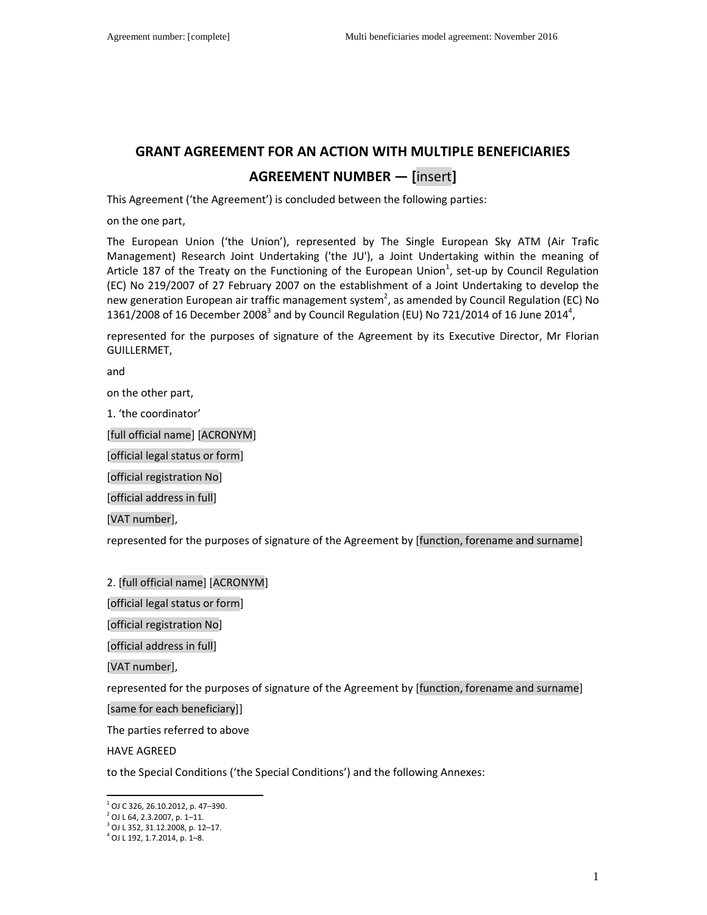# **GRANT AGREEMENT FOR AN ACTION WITH MULTIPLE BENEFICIARIES AGREEMENT NUMBER — [**insert**]**

This Agreement ('the Agreement') is concluded between the following parties:

on the one part,

The European Union ('the Union'), represented by The Single European Sky ATM (Air Trafic Management) Research Joint Undertaking ('the JU'), a Joint Undertaking within the meaning of Article 187 of the Treaty on the Functioning of the European Union<sup>1</sup>, set-up by Council Regulation (EC) No 219/2007 of 27 February 2007 on the establishment of a Joint Undertaking to develop the new generation European air traffic management system<sup>2</sup>, as amended by Council Regulation (EC) No 1361/2008 of 16 December 2008<sup>3</sup> and by Council Regulation (EU) No 721/2014 of 16 June 2014<sup>4</sup>,

represented for the purposes of signature of the Agreement by its Executive Director, Mr Florian GUILLERMET,

and

on the other part,

1. 'the coordinator'

[full official name] [ACRONYM]

[official legal status or form]

[official registration No]

[official address in full]

[VAT number],

represented for the purposes of signature of the Agreement by [function, forename and surname]

2. [full official name] [ACRONYM]

[official legal status or form]

[official registration No]

[official address in full]

[VAT number],

represented for the purposes of signature of the Agreement by [function, forename and surname]

[same for each beneficiary]]

The parties referred to above

HAVE AGREED

to the Special Conditions ('the Special Conditions') and the following Annexes:

 $\overline{a}$  $1$  OJ C 326, 26.10.2012, p. 47-390.

<sup>2</sup> OJ L 64, 2.3.2007, p. 1–11.

<sup>3</sup> OJ L 352, 31.12.2008, p. 12–17.

<sup>4</sup> OJ L 192, 1.7.2014, p. 1–8.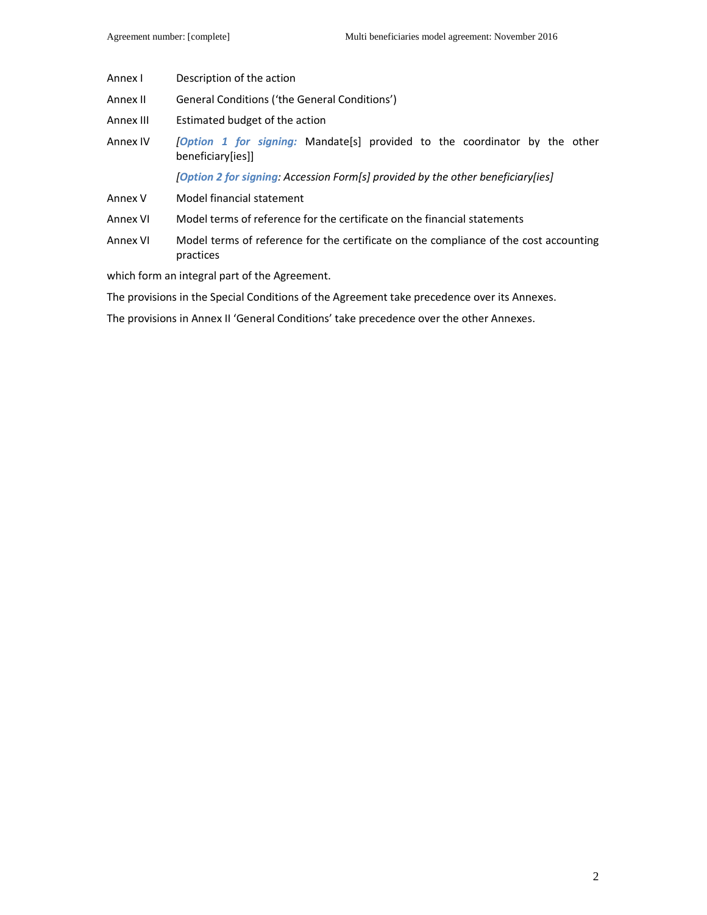- Annex I Description of the action
- Annex II General Conditions ('the General Conditions')
- Annex III Estimated budget of the action
- Annex IV *[Option 1 for signing:* Mandate[s] provided to the coordinator by the other beneficiary[ies]]

 *[Option 2 for signing: Accession Form[s] provided by the other beneficiary[ies]*

- Annex V Model financial statement
- Annex VI Model terms of reference for the certificate on the financial statements
- Annex VI Model terms of reference for the certificate on the compliance of the cost accounting practices

which form an integral part of the Agreement.

The provisions in the Special Conditions of the Agreement take precedence over its Annexes.

The provisions in Annex II 'General Conditions' take precedence over the other Annexes.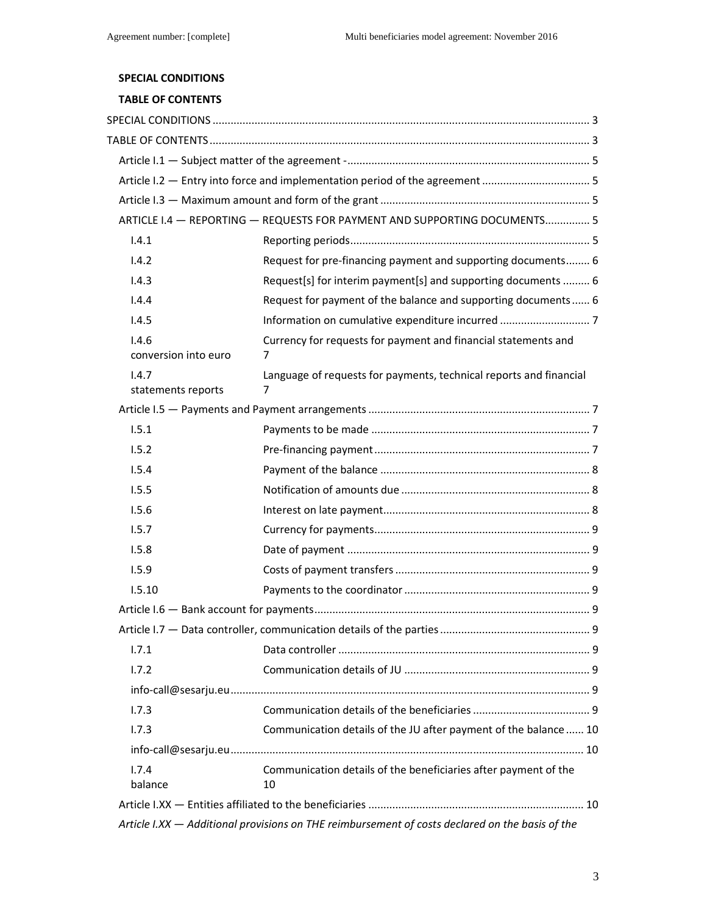# **SPECIAL CONDITIONS**

# **TABLE OF CONTENTS**

|                               | ARTICLE I.4 - REPORTING - REQUESTS FOR PAYMENT AND SUPPORTING DOCUMENTS 5                       |
|-------------------------------|-------------------------------------------------------------------------------------------------|
| 1.4.1                         |                                                                                                 |
| 1.4.2                         | Request for pre-financing payment and supporting documents 6                                    |
| 1.4.3                         | Request[s] for interim payment[s] and supporting documents  6                                   |
| 1.4.4                         | Request for payment of the balance and supporting documents 6                                   |
| 1.4.5                         |                                                                                                 |
| 1.4.6<br>conversion into euro | Currency for requests for payment and financial statements and<br>7                             |
| 1.4.7<br>statements reports   | Language of requests for payments, technical reports and financial<br>7                         |
|                               |                                                                                                 |
| 1.5.1                         |                                                                                                 |
| 1.5.2                         |                                                                                                 |
| 1.5.4                         |                                                                                                 |
| 1.5.5                         |                                                                                                 |
| 1.5.6                         |                                                                                                 |
| 1.5.7                         |                                                                                                 |
| 1.5.8                         |                                                                                                 |
| 1.5.9                         |                                                                                                 |
| 1.5.10                        |                                                                                                 |
|                               |                                                                                                 |
|                               |                                                                                                 |
| 1.7.1                         |                                                                                                 |
| 1.7.2                         |                                                                                                 |
|                               |                                                                                                 |
| 1.7.3                         |                                                                                                 |
| 1.7.3                         | Communication details of the JU after payment of the balance  10                                |
|                               |                                                                                                 |
| 1.7.4<br>balance              | Communication details of the beneficiaries after payment of the<br>10                           |
|                               |                                                                                                 |
|                               | Article I.XX - Additional provisions on THE reimbursement of costs declared on the basis of the |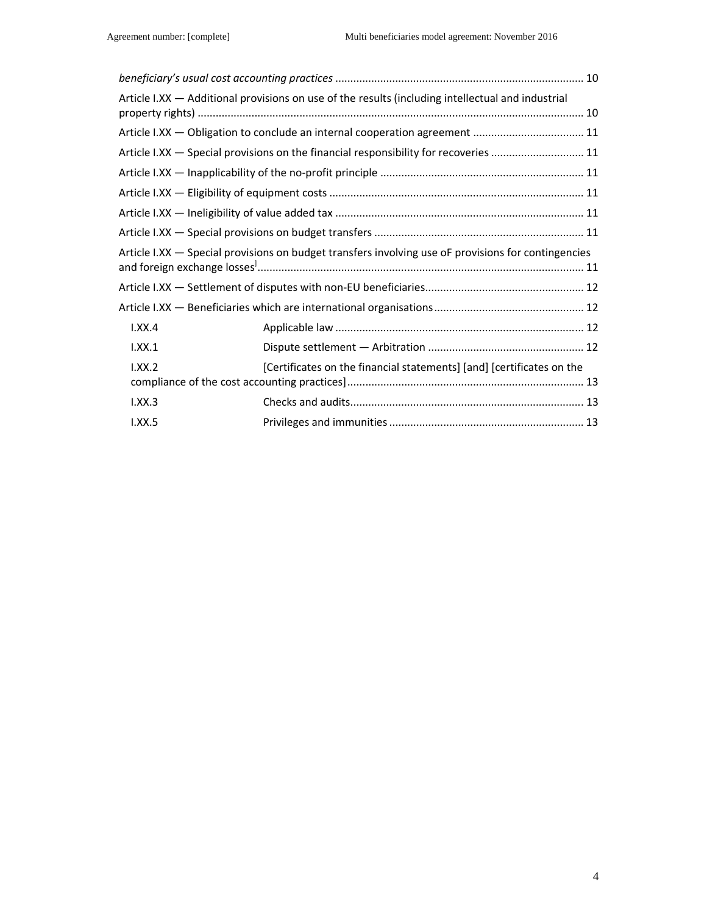|        | Article I.XX - Additional provisions on use of the results (including intellectual and industrial   |  |
|--------|-----------------------------------------------------------------------------------------------------|--|
|        | Article I.XX - Obligation to conclude an internal cooperation agreement  11                         |  |
|        | Article I.XX - Special provisions on the financial responsibility for recoveries  11                |  |
|        |                                                                                                     |  |
|        |                                                                                                     |  |
|        |                                                                                                     |  |
|        |                                                                                                     |  |
|        | Article I.XX - Special provisions on budget transfers involving use oF provisions for contingencies |  |
|        |                                                                                                     |  |
|        |                                                                                                     |  |
| 1.XX.4 |                                                                                                     |  |
| 1.XX.1 |                                                                                                     |  |
| I.XX.2 | [Certificates on the financial statements] [and] [certificates on the                               |  |
| I.XX.3 |                                                                                                     |  |
| 1.XX.5 |                                                                                                     |  |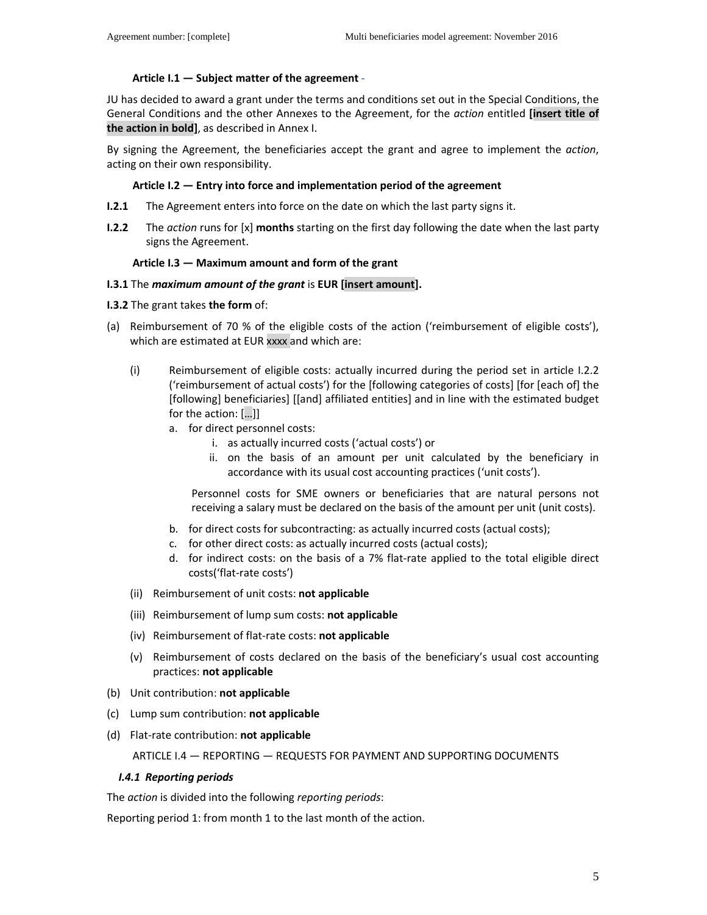### **Article I.1 — Subject matter of the agreement -**

JU has decided to award a grant under the terms and conditions set out in the Special Conditions, the General Conditions and the other Annexes to the Agreement, for the *action* entitled **[insert title of the action in bold]**, as described in Annex I.

By signing the Agreement, the beneficiaries accept the grant and agree to implement the *action*, acting on their own responsibility.

#### **Article I.2 — Entry into force and implementation period of the agreement**

- **I.2.1** The Agreement enters into force on the date on which the last party signs it.
- **I.2.2** The *action* runs for [x] **months** starting on the first day following the date when the last party signs the Agreement.

#### **Article I.3 — Maximum amount and form of the grant**

#### **I.3.1** The *maximum amount of the grant* is **EUR [insert amount].**

**I.3.2** The grant takes **the form** of:

- (a) Reimbursement of 70 % of the eligible costs of the action ('reimbursement of eligible costs'), which are estimated at EUR xxxx and which are:
	- (i) Reimbursement of eligible costs: actually incurred during the period set in article I.2.2 ('reimbursement of actual costs') for the [following categories of costs] [for [each of] the [following] beneficiaries] [[and] affiliated entities] and in line with the estimated budget for the action: […]]
		- a. for direct personnel costs:
			- i. as actually incurred costs ('actual costs') or
			- ii. on the basis of an amount per unit calculated by the beneficiary in accordance with its usual cost accounting practices ('unit costs').

Personnel costs for SME owners or beneficiaries that are natural persons not receiving a salary must be declared on the basis of the amount per unit (unit costs).

- b. for direct costs for subcontracting: as actually incurred costs (actual costs);
- c. for other direct costs: as actually incurred costs (actual costs);
- d. for indirect costs: on the basis of a 7% flat-rate applied to the total eligible direct costs('flat-rate costs')
- (ii) Reimbursement of unit costs: **not applicable**
- (iii) Reimbursement of lump sum costs: **not applicable**
- (iv) Reimbursement of flat-rate costs: **not applicable**
- (v) Reimbursement of costs declared on the basis of the beneficiary's usual cost accounting practices: **not applicable**
- (b) Unit contribution: **not applicable**
- (c) Lump sum contribution: **not applicable**
- (d) Flat-rate contribution: **not applicable**

#### ARTICLE I.4 — REPORTING — REQUESTS FOR PAYMENT AND SUPPORTING DOCUMENTS

#### *I.4.1 Reporting periods*

The *action* is divided into the following *reporting periods*:

Reporting period 1: from month 1 to the last month of the action.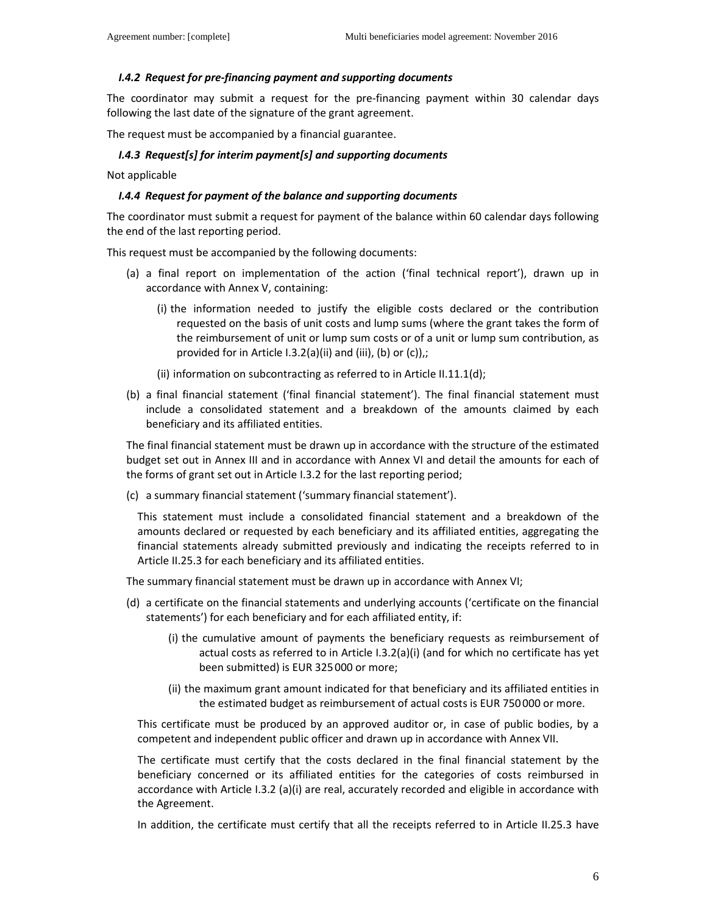#### *I.4.2 Request for pre-financing payment and supporting documents*

The coordinator may submit a request for the pre-financing payment within 30 calendar days following the last date of the signature of the grant agreement.

The request must be accompanied by a financial guarantee.

#### *I.4.3 Request[s] for interim payment[s] and supporting documents*

Not applicable

#### *I.4.4 Request for payment of the balance and supporting documents*

The coordinator must submit a request for payment of the balance within 60 calendar days following the end of the last reporting period.

This request must be accompanied by the following documents:

- (a) a final report on implementation of the action ('final technical report'), drawn up in accordance with Annex V, containing:
	- (i) the information needed to justify the eligible costs declared or the contribution requested on the basis of unit costs and lump sums (where the grant takes the form of the reimbursement of unit or lump sum costs or of a unit or lump sum contribution, as provided for in Article I.3.2(a)(ii) and (iii), (b) or (c)),;
	- (ii) information on subcontracting as referred to in Article II.11.1(d);
- (b) a final financial statement ('final financial statement'). The final financial statement must include a consolidated statement and a breakdown of the amounts claimed by each beneficiary and its affiliated entities.

The final financial statement must be drawn up in accordance with the structure of the estimated budget set out in Annex III and in accordance with Annex VI and detail the amounts for each of the forms of grant set out in Article I.3.2 for the last reporting period;

(c) a summary financial statement ('summary financial statement').

This statement must include a consolidated financial statement and a breakdown of the amounts declared or requested by each beneficiary and its affiliated entities, aggregating the financial statements already submitted previously and indicating the receipts referred to in Article II.25.3 for each beneficiary and its affiliated entities.

The summary financial statement must be drawn up in accordance with Annex VI;

- (d) a certificate on the financial statements and underlying accounts ('certificate on the financial statements') for each beneficiary and for each affiliated entity, if:
	- (i) the cumulative amount of payments the beneficiary requests as reimbursement of actual costs as referred to in Article I.3.2(a)(i) (and for which no certificate has yet been submitted) is EUR 325000 or more;
	- (ii) the maximum grant amount indicated for that beneficiary and its affiliated entities in the estimated budget as reimbursement of actual costs is EUR 750000 or more.

This certificate must be produced by an approved auditor or, in case of public bodies, by a competent and independent public officer and drawn up in accordance with Annex VII.

The certificate must certify that the costs declared in the final financial statement by the beneficiary concerned or its affiliated entities for the categories of costs reimbursed in accordance with Article I.3.2 (a)(i) are real, accurately recorded and eligible in accordance with the Agreement.

In addition, the certificate must certify that all the receipts referred to in Article II.25.3 have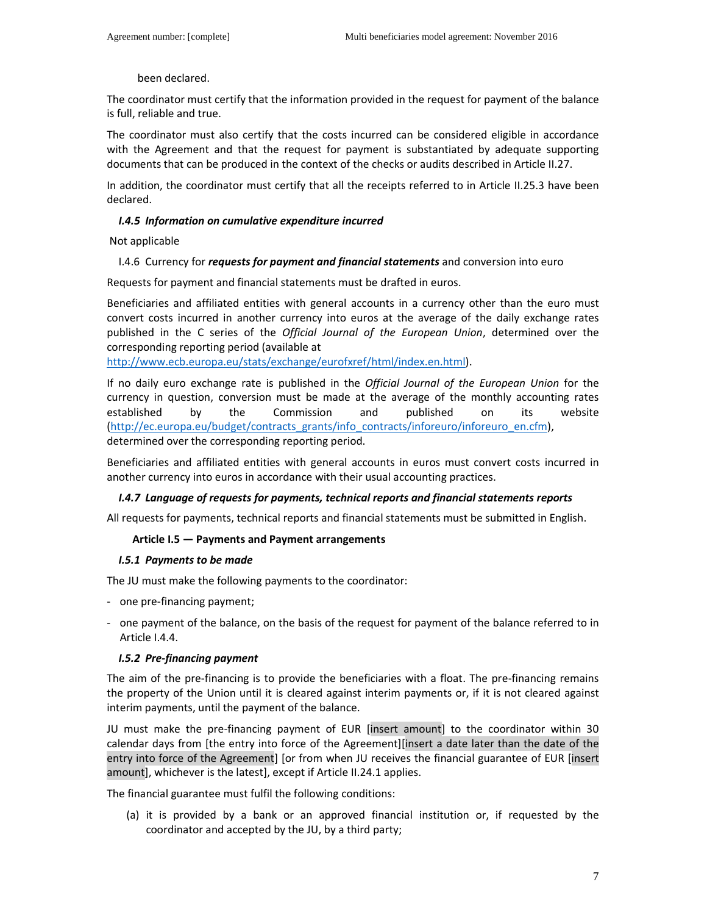#### been declared.

The coordinator must certify that the information provided in the request for payment of the balance is full, reliable and true.

The coordinator must also certify that the costs incurred can be considered eligible in accordance with the Agreement and that the request for payment is substantiated by adequate supporting documents that can be produced in the context of the checks or audits described in Article II.27.

In addition, the coordinator must certify that all the receipts referred to in Article II.25.3 have been declared.

#### *I.4.5 Information on cumulative expenditure incurred*

Not applicable

#### I.4.6 Currency for *requests for payment and financial statements* and conversion into euro

Requests for payment and financial statements must be drafted in euros.

Beneficiaries and affiliated entities with general accounts in a currency other than the euro must convert costs incurred in another currency into euros at the average of the daily exchange rates published in the C series of the *Official Journal of the European Union*, determined over the corresponding reporting period (available at

http://www.ecb.europa.eu/stats/exchange/eurofxref/html/index.en.html).

If no daily euro exchange rate is published in the *Official Journal of the European Union* for the currency in question, conversion must be made at the average of the monthly accounting rates established by the Commission and published on its website (http://ec.europa.eu/budget/contracts\_grants/info\_contracts/inforeuro/inforeuro\_en.cfm), determined over the corresponding reporting period.

Beneficiaries and affiliated entities with general accounts in euros must convert costs incurred in another currency into euros in accordance with their usual accounting practices.

### *I.4.7 Language of requests for payments, technical reports and financial statements reports*

All requests for payments, technical reports and financial statements must be submitted in English.

#### **Article I.5 — Payments and Payment arrangements**

#### *I.5.1 Payments to be made*

The JU must make the following payments to the coordinator:

- one pre-financing payment;
- one payment of the balance, on the basis of the request for payment of the balance referred to in Article I.4.4.

### *I.5.2 Pre-financing payment*

The aim of the pre-financing is to provide the beneficiaries with a float. The pre-financing remains the property of the Union until it is cleared against interim payments or, if it is not cleared against interim payments, until the payment of the balance.

JU must make the pre-financing payment of EUR [insert amount] to the coordinator within 30 calendar days from [the entry into force of the Agreement][insert a date later than the date of the entry into force of the Agreement] [or from when JU receives the financial guarantee of EUR [insert amount], whichever is the latest], except if Article II.24.1 applies.

The financial guarantee must fulfil the following conditions:

(a) it is provided by a bank or an approved financial institution or, if requested by the coordinator and accepted by the JU, by a third party;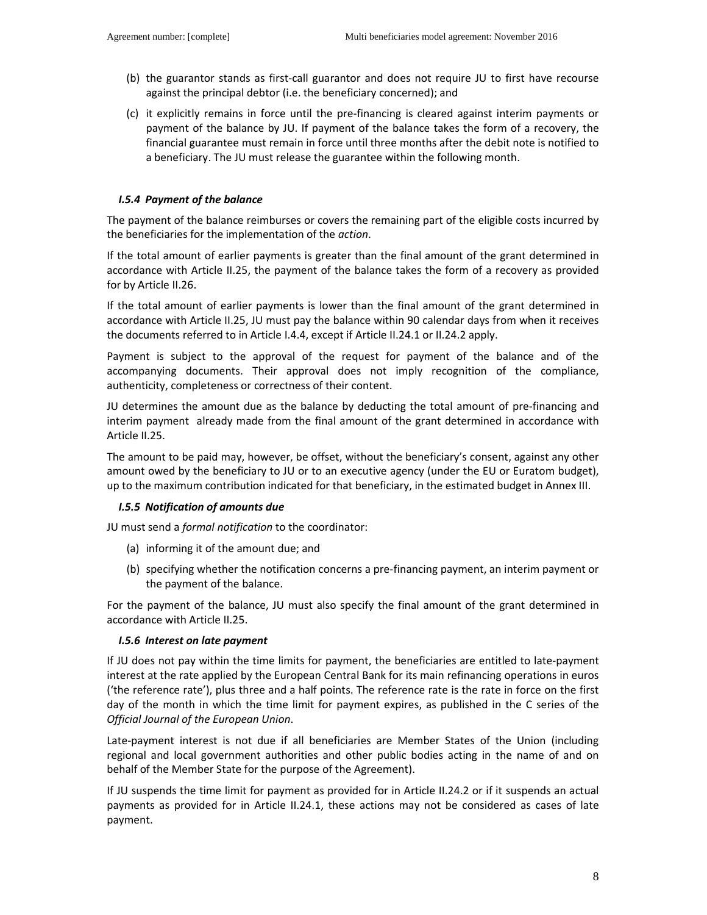- (b) the guarantor stands as first-call guarantor and does not require JU to first have recourse against the principal debtor (i.e. the beneficiary concerned); and
- (c) it explicitly remains in force until the pre-financing is cleared against interim payments or payment of the balance by JU. If payment of the balance takes the form of a recovery, the financial guarantee must remain in force until three months after the debit note is notified to a beneficiary. The JU must release the guarantee within the following month.

#### *I.5.4 Payment of the balance*

The payment of the balance reimburses or covers the remaining part of the eligible costs incurred by the beneficiaries for the implementation of the *action*.

If the total amount of earlier payments is greater than the final amount of the grant determined in accordance with Article II.25, the payment of the balance takes the form of a recovery as provided for by Article II.26.

If the total amount of earlier payments is lower than the final amount of the grant determined in accordance with Article II.25, JU must pay the balance within 90 calendar days from when it receives the documents referred to in Article I.4.4, except if Article II.24.1 or II.24.2 apply.

Payment is subject to the approval of the request for payment of the balance and of the accompanying documents. Their approval does not imply recognition of the compliance, authenticity, completeness or correctness of their content.

JU determines the amount due as the balance by deducting the total amount of pre-financing and interim payment already made from the final amount of the grant determined in accordance with Article II.25.

The amount to be paid may, however, be offset, without the beneficiary's consent, against any other amount owed by the beneficiary to JU or to an executive agency (under the EU or Euratom budget), up to the maximum contribution indicated for that beneficiary, in the estimated budget in Annex III.

#### *I.5.5 Notification of amounts due*

JU must send a *formal notification* to the coordinator:

- (a) informing it of the amount due; and
- (b) specifying whether the notification concerns a pre-financing payment, an interim payment or the payment of the balance.

For the payment of the balance, JU must also specify the final amount of the grant determined in accordance with Article II.25.

#### *I.5.6 Interest on late payment*

If JU does not pay within the time limits for payment, the beneficiaries are entitled to late-payment interest at the rate applied by the European Central Bank for its main refinancing operations in euros ('the reference rate'), plus three and a half points. The reference rate is the rate in force on the first day of the month in which the time limit for payment expires, as published in the C series of the *Official Journal of the European Union*.

Late-payment interest is not due if all beneficiaries are Member States of the Union (including regional and local government authorities and other public bodies acting in the name of and on behalf of the Member State for the purpose of the Agreement).

If JU suspends the time limit for payment as provided for in Article II.24.2 or if it suspends an actual payments as provided for in Article II.24.1, these actions may not be considered as cases of late payment.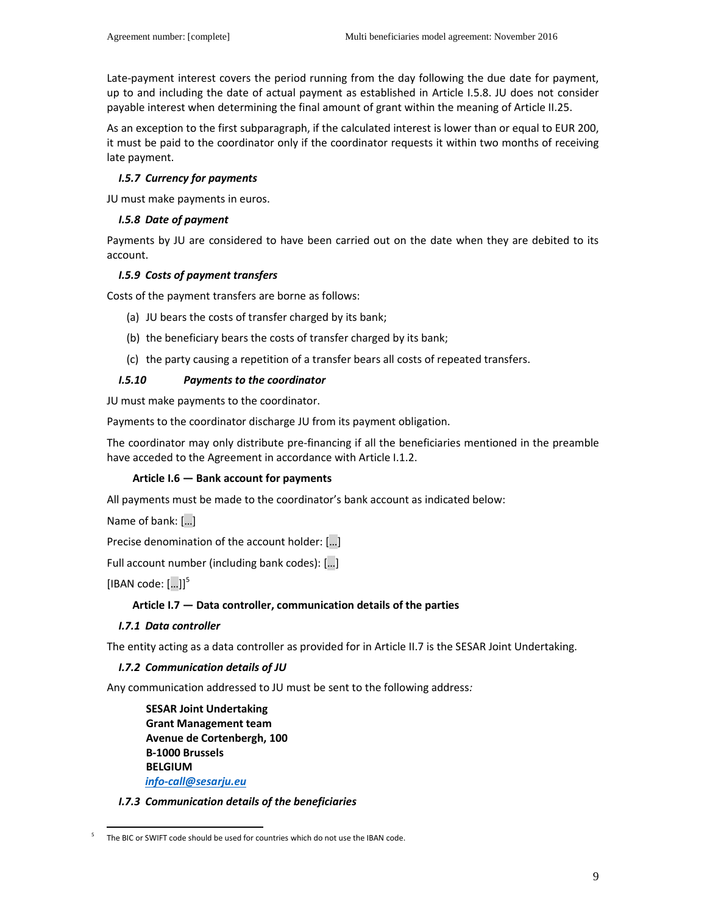Late-payment interest covers the period running from the day following the due date for payment, up to and including the date of actual payment as established in Article I.5.8. JU does not consider payable interest when determining the final amount of grant within the meaning of Article II.25.

As an exception to the first subparagraph, if the calculated interest is lower than or equal to EUR 200, it must be paid to the coordinator only if the coordinator requests it within two months of receiving late payment.

### *I.5.7 Currency for payments*

JU must make payments in euros.

### *I.5.8 Date of payment*

Payments by JU are considered to have been carried out on the date when they are debited to its account.

### *I.5.9 Costs of payment transfers*

Costs of the payment transfers are borne as follows:

- (a) JU bears the costs of transfer charged by its bank;
- (b) the beneficiary bears the costs of transfer charged by its bank;
- (c) the party causing a repetition of a transfer bears all costs of repeated transfers.

# *I.5.10 Payments to the coordinator*

JU must make payments to the coordinator.

Payments to the coordinator discharge JU from its payment obligation.

The coordinator may only distribute pre-financing if all the beneficiaries mentioned in the preamble have acceded to the Agreement in accordance with Article I.1.2.

### **Article I.6 — Bank account for payments**

All payments must be made to the coordinator's bank account as indicated below:

Name of bank: […]

Precise denomination of the account holder: […]

Full account number (including bank codes): […]

[IBAN code:  $[...]$ <sup>5</sup>

### **Article I.7 — Data controller, communication details of the parties**

### *I.7.1 Data controller*

The entity acting as a data controller as provided for in Article II.7 is the SESAR Joint Undertaking.

### *I.7.2 Communication details of JU*

Any communication addressed to JU must be sent to the following address*:* 

**SESAR Joint Undertaking Grant Management team Avenue de Cortenbergh, 100 B-1000 Brussels BELGIUM**  *info-call@sesarju.eu*

### *I.7.3 Communication details of the beneficiaries*

 $\overline{a}$ 5 The BIC or SWIFT code should be used for countries which do not use the IBAN code.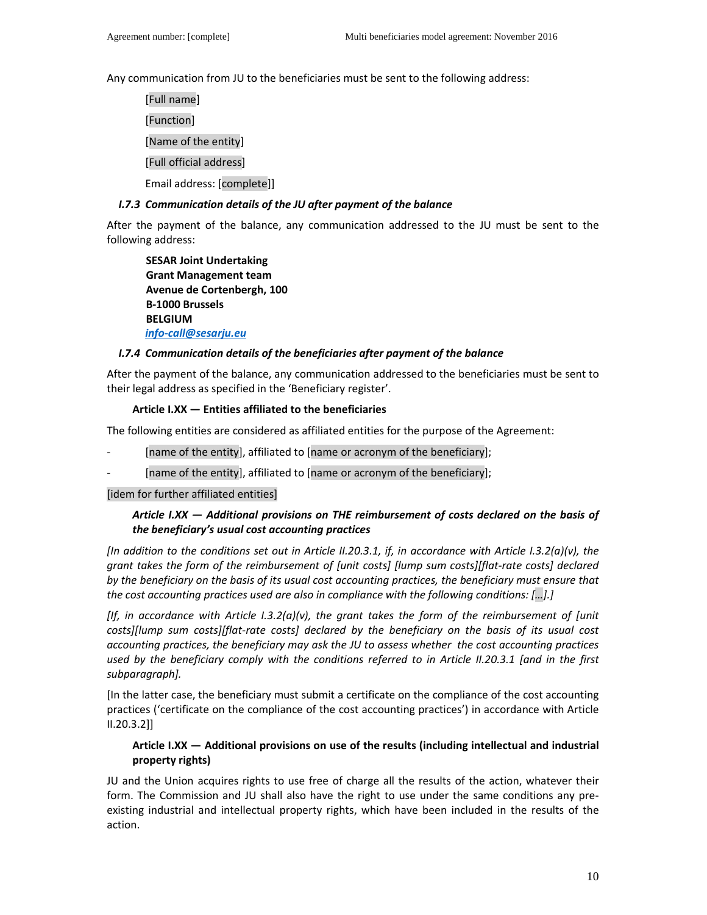Any communication from JU to the beneficiaries must be sent to the following address:

[Full name]

[Function]

[Name of the entity]

#### [Full official address]

Email address: [complete]]

### *I.7.3 Communication details of the JU after payment of the balance*

After the payment of the balance, any communication addressed to the JU must be sent to the following address:

**SESAR Joint Undertaking Grant Management team Avenue de Cortenbergh, 100 B-1000 Brussels BELGIUM**  *info-call@sesarju.eu* 

### *I.7.4 Communication details of the beneficiaries after payment of the balance*

After the payment of the balance, any communication addressed to the beneficiaries must be sent to their legal address as specified in the 'Beneficiary register'.

### **Article I.XX — Entities affiliated to the beneficiaries**

The following entities are considered as affiliated entities for the purpose of the Agreement:

- [name of the entity], affiliated to [name or acronym of the beneficiary];
- [name of the entity], affiliated to [name or acronym of the beneficiary];

[idem for further affiliated entities]

### *Article I.XX — Additional provisions on THE reimbursement of costs declared on the basis of the beneficiary's usual cost accounting practices*

*[In addition to the conditions set out in Article II.20.3.1, if, in accordance with Article I.3.2(a)(v), the grant takes the form of the reimbursement of [unit costs] [lump sum costs][flat-rate costs] declared by the beneficiary on the basis of its usual cost accounting practices, the beneficiary must ensure that the cost accounting practices used are also in compliance with the following conditions: […].]* 

*[If, in accordance with Article I.3.2(a)(v), the grant takes the form of the reimbursement of [unit costs][lump sum costs][flat-rate costs] declared by the beneficiary on the basis of its usual cost accounting practices, the beneficiary may ask the JU to assess whether the cost accounting practices used by the beneficiary comply with the conditions referred to in Article II.20.3.1 [and in the first subparagraph].* 

[In the latter case, the beneficiary must submit a certificate on the compliance of the cost accounting practices ('certificate on the compliance of the cost accounting practices') in accordance with Article II.20.3.2]]

# **Article I.XX — Additional provisions on use of the results (including intellectual and industrial property rights)**

JU and the Union acquires rights to use free of charge all the results of the action, whatever their form. The Commission and JU shall also have the right to use under the same conditions any preexisting industrial and intellectual property rights, which have been included in the results of the action.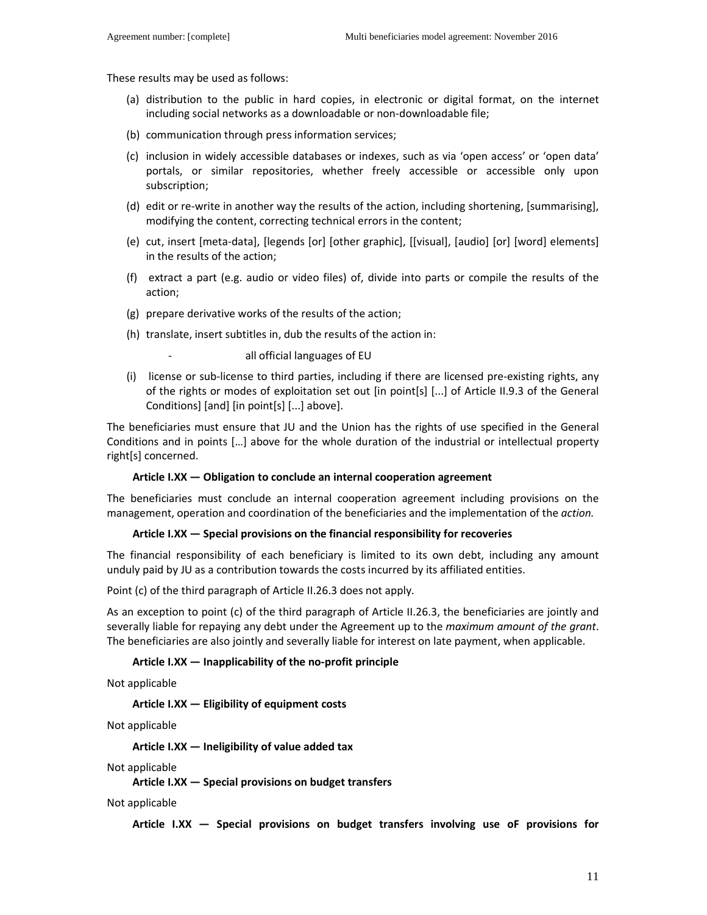These results may be used as follows:

- (a) distribution to the public in hard copies, in electronic or digital format, on the internet including social networks as a downloadable or non-downloadable file;
- (b) communication through press information services;
- (c) inclusion in widely accessible databases or indexes, such as via 'open access' or 'open data' portals, or similar repositories, whether freely accessible or accessible only upon subscription;
- (d) edit or re-write in another way the results of the action, including shortening, [summarising], modifying the content, correcting technical errors in the content;
- (e) cut, insert [meta-data], [legends [or] [other graphic], [[visual], [audio] [or] [word] elements] in the results of the action;
- (f) extract a part (e.g. audio or video files) of, divide into parts or compile the results of the action;
- (g) prepare derivative works of the results of the action;
- (h) translate, insert subtitles in, dub the results of the action in:

all official languages of EU

(i) license or sub-license to third parties, including if there are licensed pre-existing rights, any of the rights or modes of exploitation set out [in point[s] [...] of Article II.9.3 of the General Conditions] [and] [in point[s] [...] above].

The beneficiaries must ensure that JU and the Union has the rights of use specified in the General Conditions and in points […] above for the whole duration of the industrial or intellectual property right[s] concerned.

#### **Article I.XX — Obligation to conclude an internal cooperation agreement**

The beneficiaries must conclude an internal cooperation agreement including provisions on the management, operation and coordination of the beneficiaries and the implementation of the *action.*

#### **Article I.XX — Special provisions on the financial responsibility for recoveries**

The financial responsibility of each beneficiary is limited to its own debt, including any amount unduly paid by JU as a contribution towards the costs incurred by its affiliated entities.

Point (c) of the third paragraph of Article II.26.3 does not apply.

As an exception to point (c) of the third paragraph of Article II.26.3, the beneficiaries are jointly and severally liable for repaying any debt under the Agreement up to the *maximum amount of the grant*. The beneficiaries are also jointly and severally liable for interest on late payment, when applicable.

#### **Article I.XX — Inapplicability of the no-profit principle**

Not applicable

**Article I.XX — Eligibility of equipment costs** 

Not applicable

**Article I.XX — Ineligibility of value added tax** 

Not applicable

**Article I.XX — Special provisions on budget transfers** 

Not applicable

**Article I.XX — Special provisions on budget transfers involving use oF provisions for**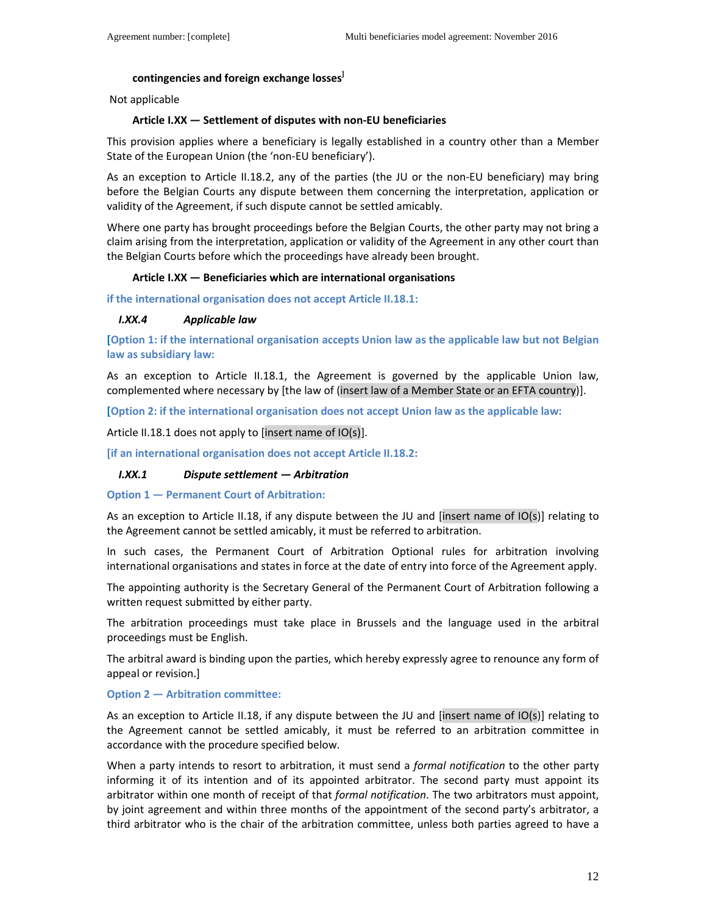### **contingencies and foreign exchange losses]**

Not applicable

#### **Article I.XX — Settlement of disputes with non-EU beneficiaries**

This provision applies where a beneficiary is legally established in a country other than a Member State of the European Union (the 'non-EU beneficiary').

As an exception to Article II.18.2, any of the parties (the JU or the non-EU beneficiary) may bring before the Belgian Courts any dispute between them concerning the interpretation, application or validity of the Agreement, if such dispute cannot be settled amicably.

Where one party has brought proceedings before the Belgian Courts, the other party may not bring a claim arising from the interpretation, application or validity of the Agreement in any other court than the Belgian Courts before which the proceedings have already been brought.

#### **Article I.XX — Beneficiaries which are international organisations**

**if the international organisation does not accept Article II.18.1:** 

#### *I.XX.4 Applicable law*

**[Option 1: if the international organisation accepts Union law as the applicable law but not Belgian law as subsidiary law:**

As an exception to Article II.18.1, the Agreement is governed by the applicable Union law, complemented where necessary by [the law of (insert law of a Member State or an EFTA country)].

**[Option 2: if the international organisation does not accept Union law as the applicable law:**

Article II.18.1 does not apply to [insert name of IO(s)].

**[if an international organisation does not accept Article II.18.2:** 

#### *I.XX.1 Dispute settlement — Arbitration*

**Option 1 — Permanent Court of Arbitration:**

As an exception to Article II.18, if any dispute between the JU and [insert name of IO(s)] relating to the Agreement cannot be settled amicably, it must be referred to arbitration.

In such cases, the Permanent Court of Arbitration Optional rules for arbitration involving international organisations and states in force at the date of entry into force of the Agreement apply.

The appointing authority is the Secretary General of the Permanent Court of Arbitration following a written request submitted by either party.

The arbitration proceedings must take place in Brussels and the language used in the arbitral proceedings must be English.

The arbitral award is binding upon the parties, which hereby expressly agree to renounce any form of appeal or revision.]

#### **Option 2 — Arbitration committee:**

As an exception to Article II.18, if any dispute between the JU and [insert name of IO(s)] relating to the Agreement cannot be settled amicably, it must be referred to an arbitration committee in accordance with the procedure specified below.

When a party intends to resort to arbitration, it must send a *formal notification* to the other party informing it of its intention and of its appointed arbitrator. The second party must appoint its arbitrator within one month of receipt of that *formal notification*. The two arbitrators must appoint, by joint agreement and within three months of the appointment of the second party's arbitrator, a third arbitrator who is the chair of the arbitration committee, unless both parties agreed to have a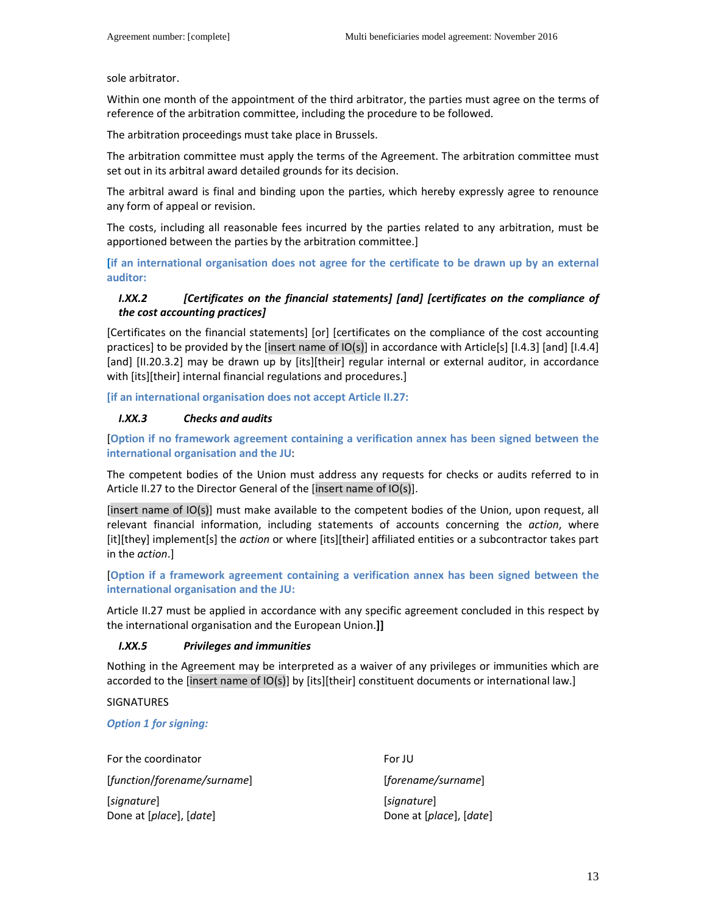sole arbitrator.

Within one month of the appointment of the third arbitrator, the parties must agree on the terms of reference of the arbitration committee, including the procedure to be followed.

The arbitration proceedings must take place in Brussels.

The arbitration committee must apply the terms of the Agreement. The arbitration committee must set out in its arbitral award detailed grounds for its decision.

The arbitral award is final and binding upon the parties, which hereby expressly agree to renounce any form of appeal or revision.

The costs, including all reasonable fees incurred by the parties related to any arbitration, must be apportioned between the parties by the arbitration committee.]

**[if an international organisation does not agree for the certificate to be drawn up by an external auditor:**

# *I.XX.2 [Certificates on the financial statements] [and] [certificates on the compliance of the cost accounting practices]*

[Certificates on the financial statements] [or] [certificates on the compliance of the cost accounting practices] to be provided by the [insert name of IO(s)] in accordance with Article[s] [I.4.3] [and] [I.4.4] [and] [II.20.3.2] may be drawn up by [its][their] regular internal or external auditor, in accordance with [its][their] internal financial regulations and procedures.]

**[if an international organisation does not accept Article II.27:** 

### *I.XX.3 Checks and audits*

[**Option if no framework agreement containing a verification annex has been signed between the international organisation and the JU**:

The competent bodies of the Union must address any requests for checks or audits referred to in Article II.27 to the Director General of the [insert name of IO(s)].

[insert name of IO(s)] must make available to the competent bodies of the Union, upon request, all relevant financial information, including statements of accounts concerning the *action*, where [it][they] implement[s] the *action* or where [its][their] affiliated entities or a subcontractor takes part in the *action*.]

[**Option if a framework agreement containing a verification annex has been signed between the international organisation and the JU:**

Article II.27 must be applied in accordance with any specific agreement concluded in this respect by the international organisation and the European Union.**]]**

### *I.XX.5 Privileges and immunities*

Nothing in the Agreement may be interpreted as a waiver of any privileges or immunities which are accorded to the [insert name of IO(s)] by [its][their] constituent documents or international law.]

### SIGNATURES

*Option 1 for signing:* 

For the coordinator **For JU** 

[*function*/*forename/surname*] [*forename/surname*]

[*signature*] [*signature*] Done at [*place*], [*date*] Done at [*place*], [*date*]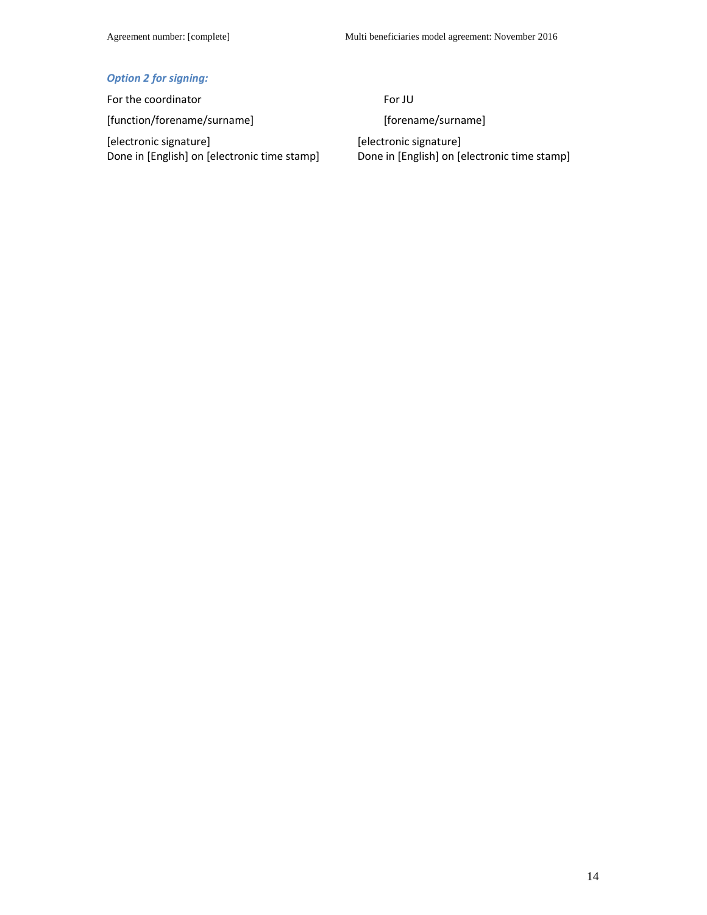# *Option 2 for signing:*

For the coordinator For JU [function/forename/surname] [forename/surname]

[electronic signature] Done in [English] on [electronic time stamp]

[electronic signature] Done in [English] on [electronic time stamp]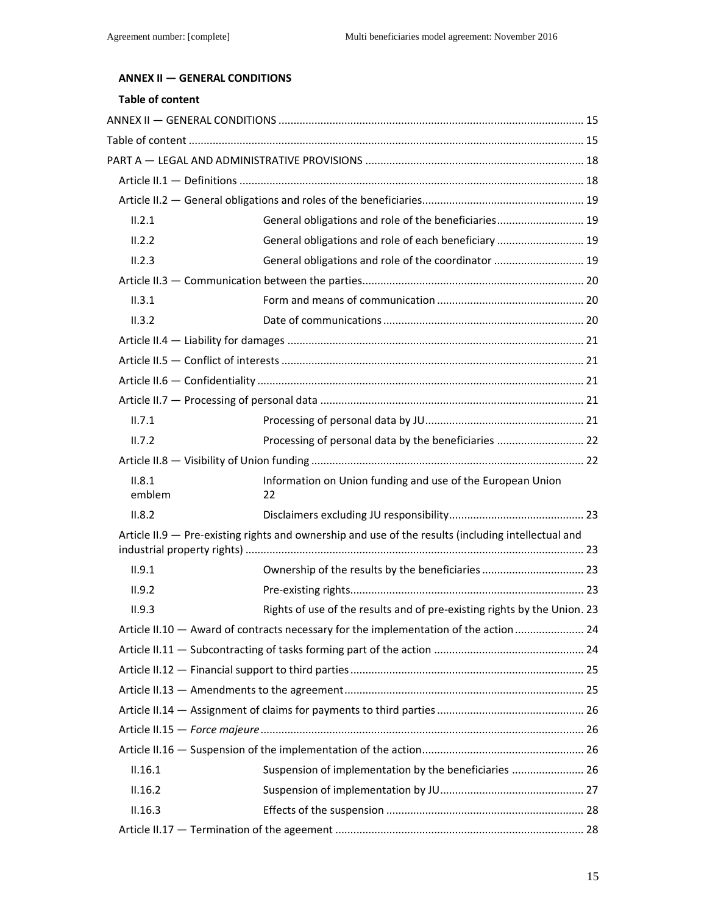# **ANNEX II — GENERAL CONDITIONS**

# **Table of content**

| II.2.1           | General obligations and role of the beneficiaries 19                                                |  |
|------------------|-----------------------------------------------------------------------------------------------------|--|
| II.2.2           | General obligations and role of each beneficiary  19                                                |  |
| II.2.3           | General obligations and role of the coordinator  19                                                 |  |
|                  |                                                                                                     |  |
| II.3.1           |                                                                                                     |  |
| II.3.2           |                                                                                                     |  |
|                  |                                                                                                     |  |
|                  |                                                                                                     |  |
|                  |                                                                                                     |  |
|                  |                                                                                                     |  |
| II.7.1           |                                                                                                     |  |
| II.7.2           | Processing of personal data by the beneficiaries  22                                                |  |
|                  |                                                                                                     |  |
| II.8.1<br>emblem | Information on Union funding and use of the European Union<br>22                                    |  |
| II.8.2           |                                                                                                     |  |
|                  | Article II.9 - Pre-existing rights and ownership and use of the results (including intellectual and |  |
|                  |                                                                                                     |  |
| II.9.1           |                                                                                                     |  |
| II.9.2           |                                                                                                     |  |
| II.9.3           | Rights of use of the results and of pre-existing rights by the Union. 23                            |  |
|                  | Article II.10 - Award of contracts necessary for the implementation of the action 24                |  |
|                  |                                                                                                     |  |
|                  |                                                                                                     |  |
|                  |                                                                                                     |  |
|                  |                                                                                                     |  |
|                  |                                                                                                     |  |
|                  |                                                                                                     |  |
| II.16.1          | Suspension of implementation by the beneficiaries  26                                               |  |
| II.16.2          |                                                                                                     |  |
| II.16.3          |                                                                                                     |  |
|                  |                                                                                                     |  |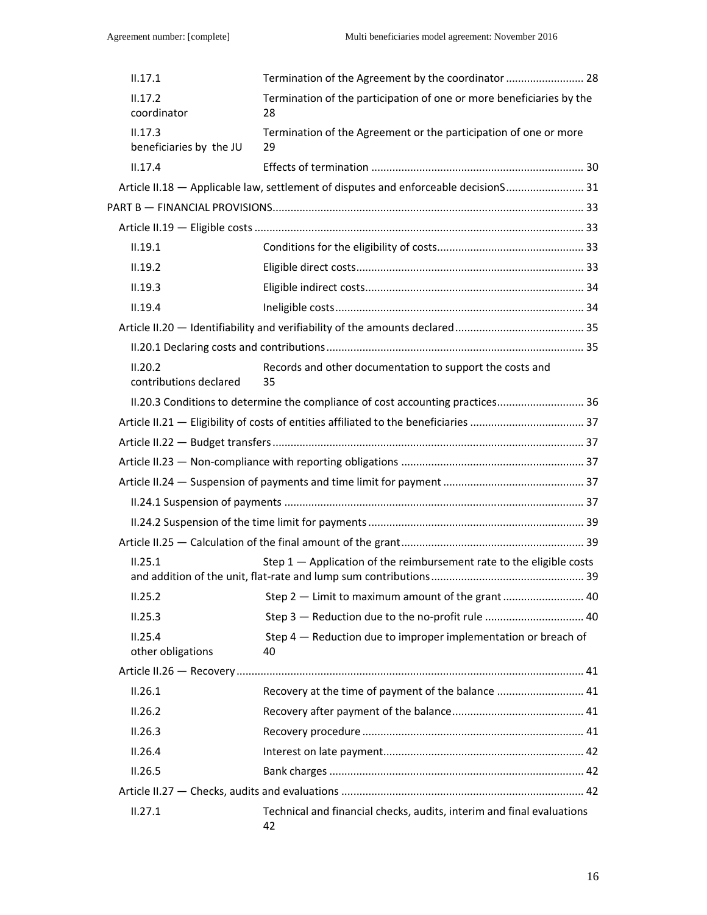| II.17.1                            | Termination of the Agreement by the coordinator  28                                 |  |
|------------------------------------|-------------------------------------------------------------------------------------|--|
| II.17.2<br>coordinator             | Termination of the participation of one or more beneficiaries by the<br>28          |  |
| II.17.3<br>beneficiaries by the JU | Termination of the Agreement or the participation of one or more<br>29              |  |
| II.17.4                            |                                                                                     |  |
|                                    | Article II.18 - Applicable law, settlement of disputes and enforceable decisionS 31 |  |
|                                    |                                                                                     |  |
|                                    |                                                                                     |  |
| II.19.1                            |                                                                                     |  |
| II.19.2                            |                                                                                     |  |
| II.19.3                            |                                                                                     |  |
| II.19.4                            |                                                                                     |  |
|                                    |                                                                                     |  |
|                                    |                                                                                     |  |
| II.20.2<br>contributions declared  | Records and other documentation to support the costs and<br>35                      |  |
|                                    | II.20.3 Conditions to determine the compliance of cost accounting practices 36      |  |
|                                    |                                                                                     |  |
|                                    |                                                                                     |  |
|                                    |                                                                                     |  |
|                                    |                                                                                     |  |
|                                    |                                                                                     |  |
|                                    |                                                                                     |  |
|                                    |                                                                                     |  |
| II.25.1                            | Step 1 - Application of the reimbursement rate to the eligible costs                |  |
| II.25.2                            |                                                                                     |  |
| II.25.3                            | Step 3 - Reduction due to the no-profit rule  40                                    |  |
| II.25.4<br>other obligations       | Step $4$ $-$ Reduction due to improper implementation or breach of<br>40            |  |
|                                    |                                                                                     |  |
| II.26.1                            | Recovery at the time of payment of the balance  41                                  |  |
| II.26.2                            |                                                                                     |  |
| II.26.3                            |                                                                                     |  |
| II.26.4                            |                                                                                     |  |
| II.26.5                            |                                                                                     |  |
|                                    |                                                                                     |  |
| II.27.1                            | Technical and financial checks, audits, interim and final evaluations<br>42         |  |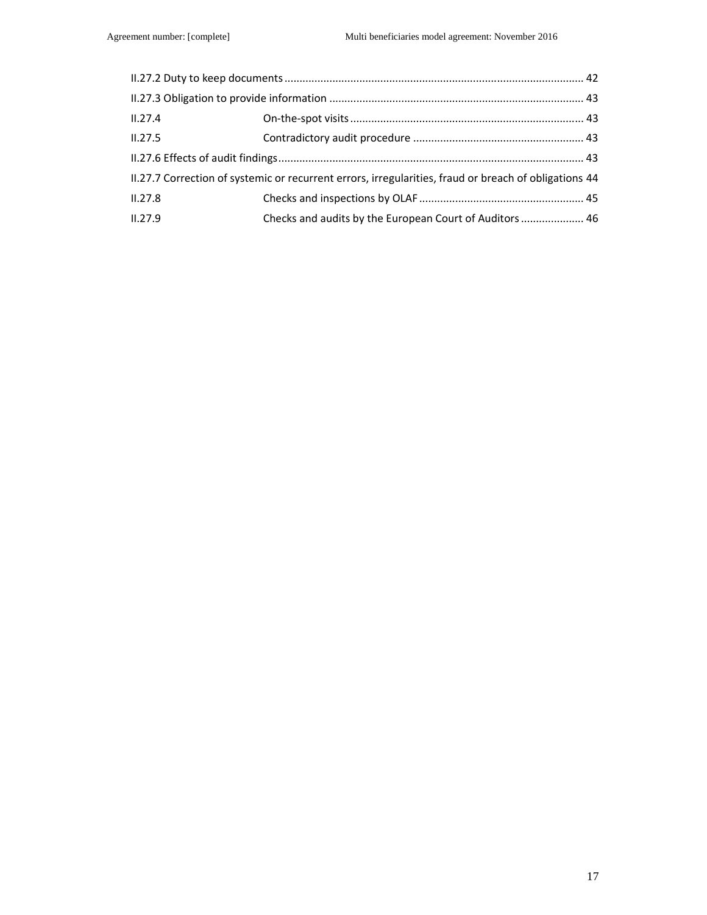| II.27.4                                                                                               |                                                         |  |
|-------------------------------------------------------------------------------------------------------|---------------------------------------------------------|--|
| II.27.5                                                                                               |                                                         |  |
|                                                                                                       |                                                         |  |
| II.27.7 Correction of systemic or recurrent errors, irregularities, fraud or breach of obligations 44 |                                                         |  |
| II.27.8                                                                                               |                                                         |  |
| II.27.9                                                                                               | Checks and audits by the European Court of Auditors  46 |  |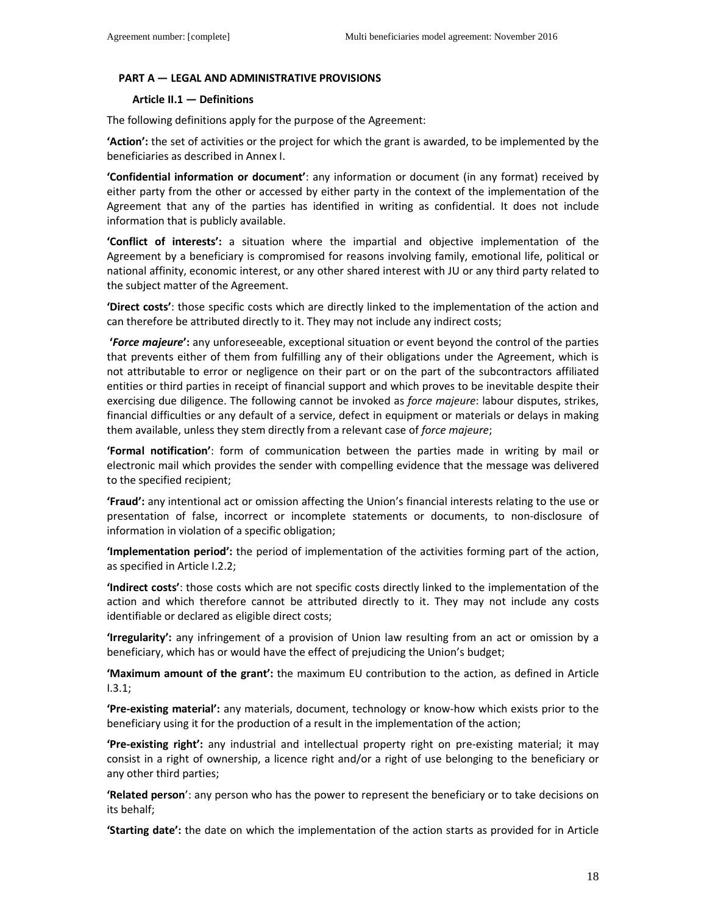#### **PART A — LEGAL AND ADMINISTRATIVE PROVISIONS**

#### **Article II.1 — Definitions**

The following definitions apply for the purpose of the Agreement:

**'Action':** the set of activities or the project for which the grant is awarded, to be implemented by the beneficiaries as described in Annex I.

**'Confidential information or document'**: any information or document (in any format) received by either party from the other or accessed by either party in the context of the implementation of the Agreement that any of the parties has identified in writing as confidential. It does not include information that is publicly available.

**'Conflict of interests':** a situation where the impartial and objective implementation of the Agreement by a beneficiary is compromised for reasons involving family, emotional life, political or national affinity, economic interest, or any other shared interest with JU or any third party related to the subject matter of the Agreement.

**'Direct costs'**: those specific costs which are directly linked to the implementation of the action and can therefore be attributed directly to it. They may not include any indirect costs;

**'***Force majeure***':** any unforeseeable, exceptional situation or event beyond the control of the parties that prevents either of them from fulfilling any of their obligations under the Agreement, which is not attributable to error or negligence on their part or on the part of the subcontractors affiliated entities or third parties in receipt of financial support and which proves to be inevitable despite their exercising due diligence. The following cannot be invoked as *force majeure*: labour disputes, strikes, financial difficulties or any default of a service, defect in equipment or materials or delays in making them available, unless they stem directly from a relevant case of *force majeure*;

**'Formal notification'**: form of communication between the parties made in writing by mail or electronic mail which provides the sender with compelling evidence that the message was delivered to the specified recipient;

**'Fraud':** any intentional act or omission affecting the Union's financial interests relating to the use or presentation of false, incorrect or incomplete statements or documents, to non-disclosure of information in violation of a specific obligation;

**'Implementation period':** the period of implementation of the activities forming part of the action, as specified in Article I.2.2;

**'Indirect costs'**: those costs which are not specific costs directly linked to the implementation of the action and which therefore cannot be attributed directly to it. They may not include any costs identifiable or declared as eligible direct costs;

**'Irregularity':** any infringement of a provision of Union law resulting from an act or omission by a beneficiary, which has or would have the effect of prejudicing the Union's budget;

**'Maximum amount of the grant':** the maximum EU contribution to the action, as defined in Article I.3.1;

**'Pre-existing material':** any materials, document, technology or know-how which exists prior to the beneficiary using it for the production of a result in the implementation of the action;

**'Pre-existing right':** any industrial and intellectual property right on pre-existing material; it may consist in a right of ownership, a licence right and/or a right of use belonging to the beneficiary or any other third parties;

**'Related person**': any person who has the power to represent the beneficiary or to take decisions on its behalf;

**'Starting date':** the date on which the implementation of the action starts as provided for in Article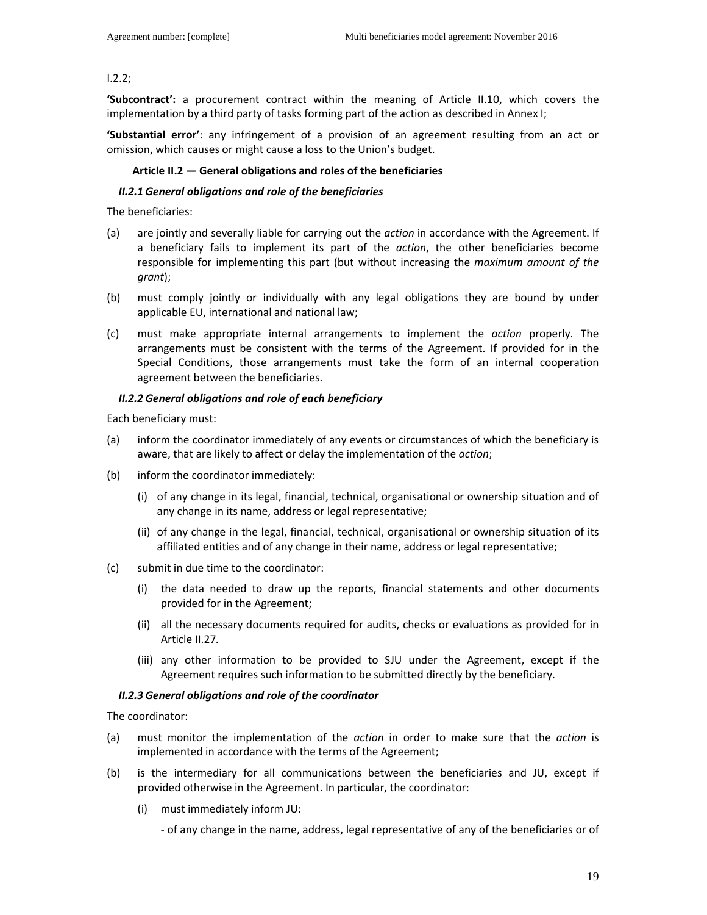### I.2.2;

**'Subcontract':** a procurement contract within the meaning of Article II.10, which covers the implementation by a third party of tasks forming part of the action as described in Annex I;

**'Substantial error'**: any infringement of a provision of an agreement resulting from an act or omission, which causes or might cause a loss to the Union's budget.

#### **Article II.2 — General obligations and roles of the beneficiaries**

#### *II.2.1 General obligations and role of the beneficiaries*

The beneficiaries:

- (a) are jointly and severally liable for carrying out the *action* in accordance with the Agreement. If a beneficiary fails to implement its part of the *action*, the other beneficiaries become responsible for implementing this part (but without increasing the *maximum amount of the grant*);
- (b) must comply jointly or individually with any legal obligations they are bound by under applicable EU, international and national law;
- (c) must make appropriate internal arrangements to implement the *action* properly. The arrangements must be consistent with the terms of the Agreement. If provided for in the Special Conditions, those arrangements must take the form of an internal cooperation agreement between the beneficiaries.

#### *II.2.2 General obligations and role of each beneficiary*

Each beneficiary must:

- (a) inform the coordinator immediately of any events or circumstances of which the beneficiary is aware, that are likely to affect or delay the implementation of the *action*;
- (b) inform the coordinator immediately:
	- (i) of any change in its legal, financial, technical, organisational or ownership situation and of any change in its name, address or legal representative;
	- (ii) of any change in the legal, financial, technical, organisational or ownership situation of its affiliated entities and of any change in their name, address or legal representative;
- (c) submit in due time to the coordinator:
	- (i) the data needed to draw up the reports, financial statements and other documents provided for in the Agreement;
	- (ii) all the necessary documents required for audits, checks or evaluations as provided for in Article II.27*.*
	- (iii) any other information to be provided to SJU under the Agreement, except if the Agreement requires such information to be submitted directly by the beneficiary.

### *II.2.3 General obligations and role of the coordinator*

The coordinator:

- (a) must monitor the implementation of the *action* in order to make sure that the *action* is implemented in accordance with the terms of the Agreement;
- (b) is the intermediary for all communications between the beneficiaries and JU, except if provided otherwise in the Agreement. In particular, the coordinator:
	- (i) must immediately inform JU:

- of any change in the name, address, legal representative of any of the beneficiaries or of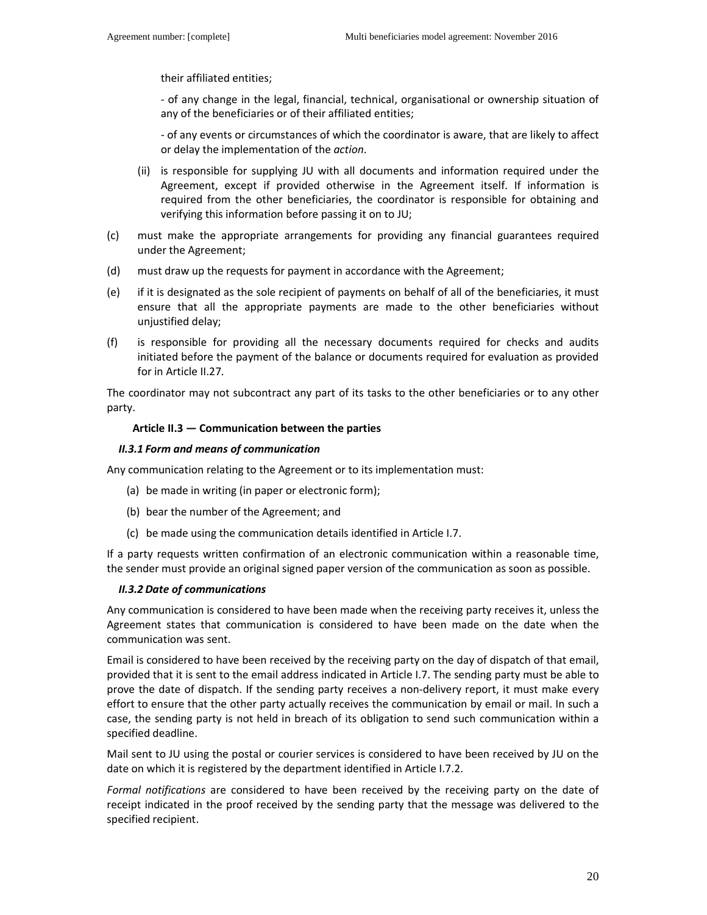their affiliated entities;

 - of any change in the legal, financial, technical, organisational or ownership situation of any of the beneficiaries or of their affiliated entities;

 - of any events or circumstances of which the coordinator is aware, that are likely to affect or delay the implementation of the *action*.

- (ii) is responsible for supplying JU with all documents and information required under the Agreement, except if provided otherwise in the Agreement itself. If information is required from the other beneficiaries, the coordinator is responsible for obtaining and verifying this information before passing it on to JU;
- (c) must make the appropriate arrangements for providing any financial guarantees required under the Agreement;
- (d) must draw up the requests for payment in accordance with the Agreement;
- (e) if it is designated as the sole recipient of payments on behalf of all of the beneficiaries, it must ensure that all the appropriate payments are made to the other beneficiaries without unjustified delay;
- (f) is responsible for providing all the necessary documents required for checks and audits initiated before the payment of the balance or documents required for evaluation as provided for in Article II.27*.*

The coordinator may not subcontract any part of its tasks to the other beneficiaries or to any other party.

#### **Article II.3 — Communication between the parties**

#### *II.3.1 Form and means of communication*

Any communication relating to the Agreement or to its implementation must:

- (a) be made in writing (in paper or electronic form);
- (b) bear the number of the Agreement; and
- (c) be made using the communication details identified in Article I.7.

If a party requests written confirmation of an electronic communication within a reasonable time, the sender must provide an original signed paper version of the communication as soon as possible.

#### *II.3.2 Date of communications*

Any communication is considered to have been made when the receiving party receives it, unless the Agreement states that communication is considered to have been made on the date when the communication was sent.

Email is considered to have been received by the receiving party on the day of dispatch of that email, provided that it is sent to the email address indicated in Article I.7. The sending party must be able to prove the date of dispatch. If the sending party receives a non-delivery report, it must make every effort to ensure that the other party actually receives the communication by email or mail. In such a case, the sending party is not held in breach of its obligation to send such communication within a specified deadline.

Mail sent to JU using the postal or courier services is considered to have been received by JU on the date on which it is registered by the department identified in Article I.7.2.

*Formal notifications* are considered to have been received by the receiving party on the date of receipt indicated in the proof received by the sending party that the message was delivered to the specified recipient.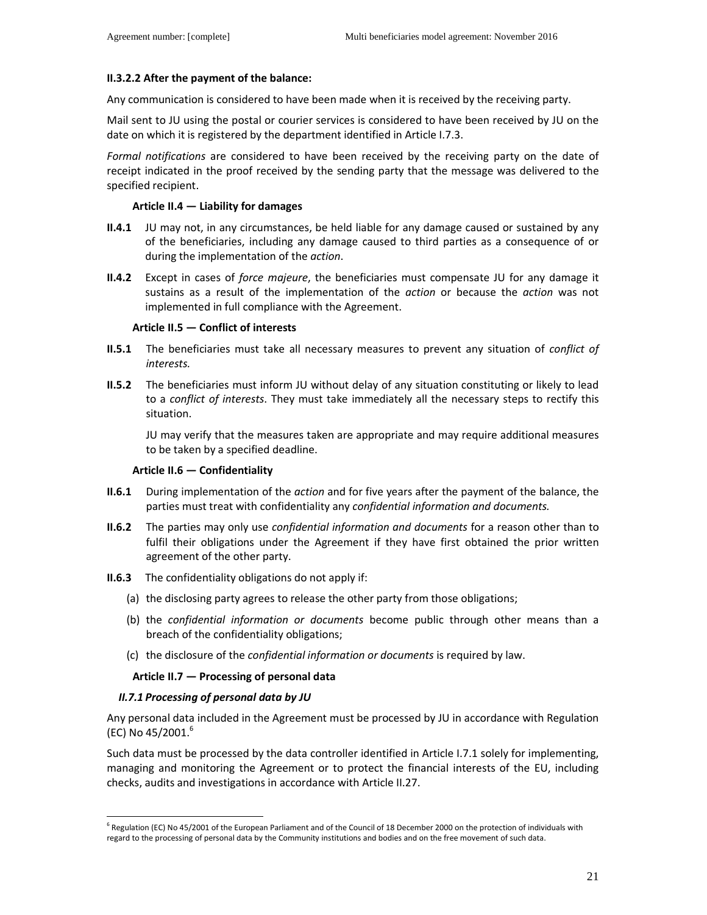### **II.3.2.2 After the payment of the balance:**

Any communication is considered to have been made when it is received by the receiving party.

Mail sent to JU using the postal or courier services is considered to have been received by JU on the date on which it is registered by the department identified in Article I.7.3.

*Formal notifications* are considered to have been received by the receiving party on the date of receipt indicated in the proof received by the sending party that the message was delivered to the specified recipient.

#### **Article II.4 — Liability for damages**

- **II.4.1** JU may not, in any circumstances, be held liable for any damage caused or sustained by any of the beneficiaries, including any damage caused to third parties as a consequence of or during the implementation of the *action*.
- **II.4.2** Except in cases of *force majeure*, the beneficiaries must compensate JU for any damage it sustains as a result of the implementation of the *action* or because the *action* was not implemented in full compliance with the Agreement.

#### **Article II.5 — Conflict of interests**

- **II.5.1** The beneficiaries must take all necessary measures to prevent any situation of *conflict of interests.*
- **II.5.2** The beneficiaries must inform JU without delay of any situation constituting or likely to lead to a *conflict of interests*. They must take immediately all the necessary steps to rectify this situation.

JU may verify that the measures taken are appropriate and may require additional measures to be taken by a specified deadline.

#### **Article II.6 — Confidentiality**

- **II.6.1** During implementation of the *action* and for five years after the payment of the balance, the parties must treat with confidentiality any *confidential information and documents.*
- **II.6.2** The parties may only use *confidential information and documents* for a reason other than to fulfil their obligations under the Agreement if they have first obtained the prior written agreement of the other party.
- **II.6.3** The confidentiality obligations do not apply if:
	- (a) the disclosing party agrees to release the other party from those obligations;
	- (b) the *confidential information or documents* become public through other means than a breach of the confidentiality obligations;
	- (c) the disclosure of the *confidential information or documents* is required by law.

### **Article II.7 — Processing of personal data**

#### *II.7.1 Processing of personal data by JU*

l

Any personal data included in the Agreement must be processed by JU in accordance with Regulation (EC) No  $45/2001.^6$ 

Such data must be processed by the data controller identified in Article I.7.1 solely for implementing, managing and monitoring the Agreement or to protect the financial interests of the EU, including checks, audits and investigations in accordance with Article II.27.

<sup>&</sup>lt;sup>6</sup> Regulation (EC) No 45/2001 of the European Parliament and of the Council of 18 December 2000 on the protection of individuals with regard to the processing of personal data by the Community institutions and bodies and on the free movement of such data.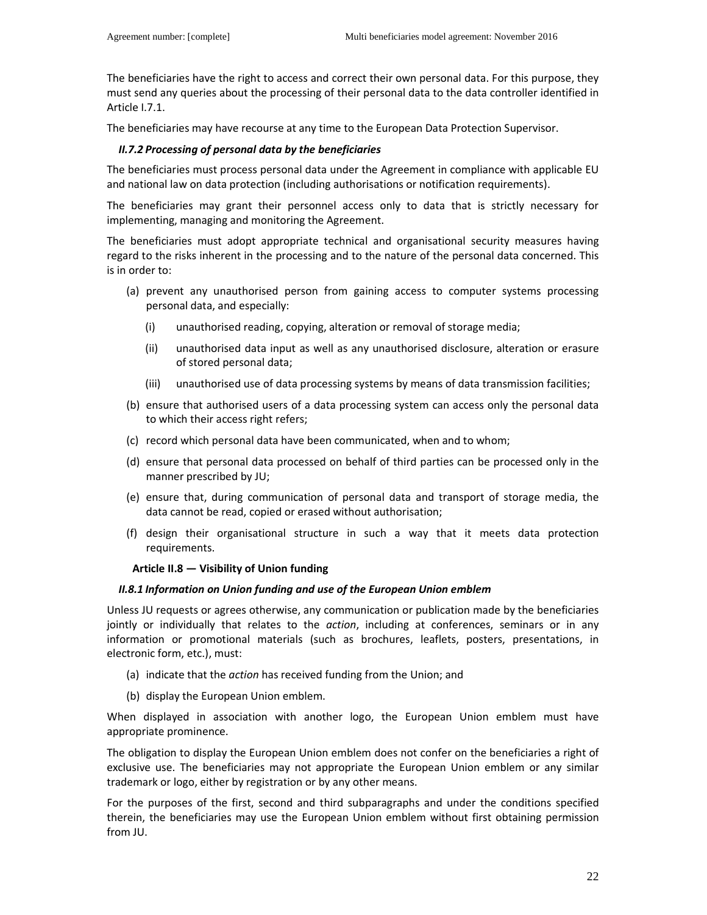The beneficiaries have the right to access and correct their own personal data. For this purpose, they must send any queries about the processing of their personal data to the data controller identified in Article I.7.1.

The beneficiaries may have recourse at any time to the European Data Protection Supervisor.

### *II.7.2 Processing of personal data by the beneficiaries*

The beneficiaries must process personal data under the Agreement in compliance with applicable EU and national law on data protection (including authorisations or notification requirements).

The beneficiaries may grant their personnel access only to data that is strictly necessary for implementing, managing and monitoring the Agreement.

The beneficiaries must adopt appropriate technical and organisational security measures having regard to the risks inherent in the processing and to the nature of the personal data concerned. This is in order to:

- (a) prevent any unauthorised person from gaining access to computer systems processing personal data, and especially:
	- (i) unauthorised reading, copying, alteration or removal of storage media;
	- (ii) unauthorised data input as well as any unauthorised disclosure, alteration or erasure of stored personal data;
	- (iii) unauthorised use of data processing systems by means of data transmission facilities;
- (b) ensure that authorised users of a data processing system can access only the personal data to which their access right refers;
- (c) record which personal data have been communicated, when and to whom;
- (d) ensure that personal data processed on behalf of third parties can be processed only in the manner prescribed by JU;
- (e) ensure that, during communication of personal data and transport of storage media, the data cannot be read, copied or erased without authorisation;
- (f) design their organisational structure in such a way that it meets data protection requirements.

#### **Article II.8 — Visibility of Union funding**

#### *II.8.1 Information on Union funding and use of the European Union emblem*

Unless JU requests or agrees otherwise, any communication or publication made by the beneficiaries jointly or individually that relates to the *action*, including at conferences, seminars or in any information or promotional materials (such as brochures, leaflets, posters, presentations, in electronic form, etc.), must:

- (a) indicate that the *action* has received funding from the Union; and
- (b) display the European Union emblem.

When displayed in association with another logo, the European Union emblem must have appropriate prominence.

The obligation to display the European Union emblem does not confer on the beneficiaries a right of exclusive use. The beneficiaries may not appropriate the European Union emblem or any similar trademark or logo, either by registration or by any other means.

For the purposes of the first, second and third subparagraphs and under the conditions specified therein, the beneficiaries may use the European Union emblem without first obtaining permission from JU.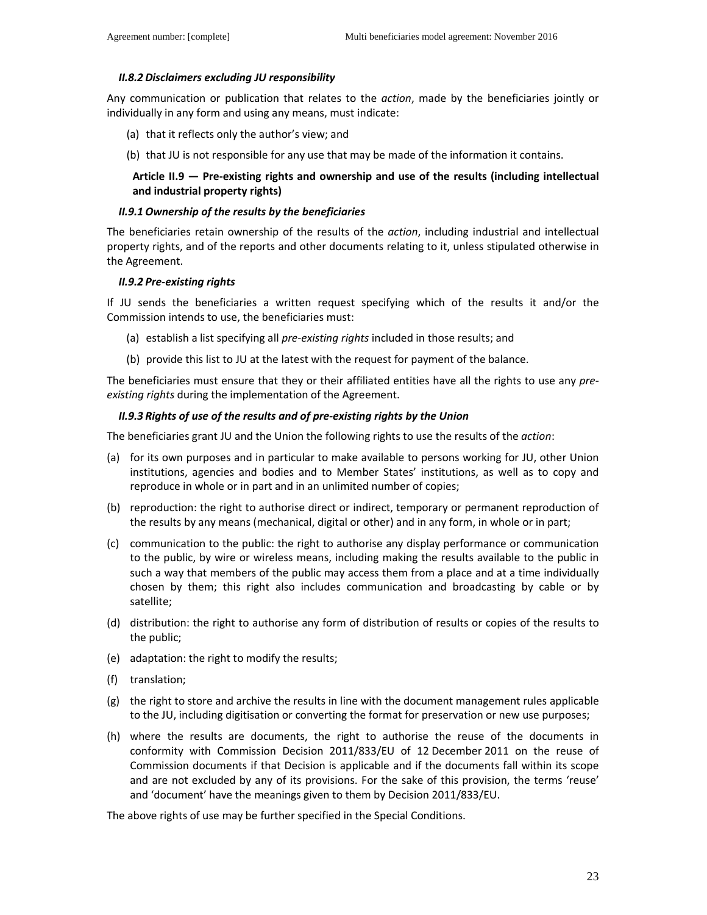#### *II.8.2 Disclaimers excluding JU responsibility*

Any communication or publication that relates to the *action*, made by the beneficiaries jointly or individually in any form and using any means, must indicate:

- (a) that it reflects only the author's view; and
- (b) that JU is not responsible for any use that may be made of the information it contains.

### **Article II.9 — Pre-existing rights and ownership and use of the results (including intellectual and industrial property rights)**

#### *II.9.1 Ownership of the results by the beneficiaries*

The beneficiaries retain ownership of the results of the *action*, including industrial and intellectual property rights, and of the reports and other documents relating to it, unless stipulated otherwise in the Agreement.

#### *II.9.2 Pre-existing rights*

If JU sends the beneficiaries a written request specifying which of the results it and/or the Commission intends to use, the beneficiaries must:

- (a) establish a list specifying all *pre-existing rights* included in those results; and
- (b) provide this list to JU at the latest with the request for payment of the balance.

The beneficiaries must ensure that they or their affiliated entities have all the rights to use any *preexisting rights* during the implementation of the Agreement.

#### *II.9.3 Rights of use of the results and of pre-existing rights by the Union*

The beneficiaries grant JU and the Union the following rights to use the results of the *action*:

- (a) for its own purposes and in particular to make available to persons working for JU, other Union institutions, agencies and bodies and to Member States' institutions, as well as to copy and reproduce in whole or in part and in an unlimited number of copies;
- (b) reproduction: the right to authorise direct or indirect, temporary or permanent reproduction of the results by any means (mechanical, digital or other) and in any form, in whole or in part;
- (c) communication to the public: the right to authorise any display performance or communication to the public, by wire or wireless means, including making the results available to the public in such a way that members of the public may access them from a place and at a time individually chosen by them; this right also includes communication and broadcasting by cable or by satellite;
- (d) distribution: the right to authorise any form of distribution of results or copies of the results to the public;
- (e) adaptation: the right to modify the results;
- (f) translation;
- (g) the right to store and archive the results in line with the document management rules applicable to the JU, including digitisation or converting the format for preservation or new use purposes;
- (h) where the results are documents, the right to authorise the reuse of the documents in conformity with Commission Decision 2011/833/EU of 12 December 2011 on the reuse of Commission documents if that Decision is applicable and if the documents fall within its scope and are not excluded by any of its provisions. For the sake of this provision, the terms 'reuse' and 'document' have the meanings given to them by Decision 2011/833/EU.

The above rights of use may be further specified in the Special Conditions.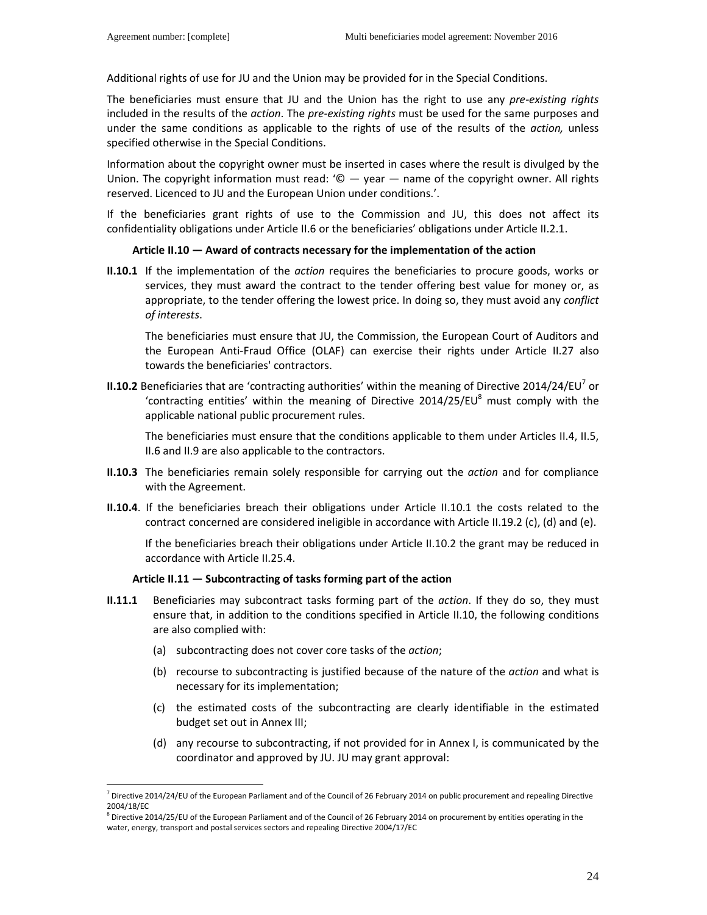$\overline{a}$ 

Additional rights of use for JU and the Union may be provided for in the Special Conditions.

The beneficiaries must ensure that JU and the Union has the right to use any *pre-existing rights* included in the results of the *action*. The *pre-existing rights* must be used for the same purposes and under the same conditions as applicable to the rights of use of the results of the *action,* unless specified otherwise in the Special Conditions.

Information about the copyright owner must be inserted in cases where the result is divulged by the Union. The copyright information must read:  $\degree$   $\degree$  — year — name of the copyright owner. All rights reserved. Licenced to JU and the European Union under conditions.'.

If the beneficiaries grant rights of use to the Commission and JU, this does not affect its confidentiality obligations under Article II.6 or the beneficiaries' obligations under Article II.2.1.

#### **Article II.10 — Award of contracts necessary for the implementation of the action**

**II.10.1** If the implementation of the *action* requires the beneficiaries to procure goods, works or services, they must award the contract to the tender offering best value for money or, as appropriate, to the tender offering the lowest price. In doing so, they must avoid any *conflict of interests*.

 The beneficiaries must ensure that JU, the Commission, the European Court of Auditors and the European Anti-Fraud Office (OLAF) can exercise their rights under Article II.27 also towards the beneficiaries' contractors.

**II.10.2** Beneficiaries that are 'contracting authorities' within the meaning of Directive 2014/24/EU<sup>7</sup> or 'contracting entities' within the meaning of Directive  $2014/25/EU<sup>8</sup>$  must comply with the applicable national public procurement rules.

The beneficiaries must ensure that the conditions applicable to them under Articles II.4, II.5, II.6 and II.9 are also applicable to the contractors.

- **II.10.3** The beneficiaries remain solely responsible for carrying out the *action* and for compliance with the Agreement.
- **II.10.4**. If the beneficiaries breach their obligations under Article II.10.1 the costs related to the contract concerned are considered ineligible in accordance with Article II.19.2 (c), (d) and (e).

If the beneficiaries breach their obligations under Article II.10.2 the grant may be reduced in accordance with Article II.25.4.

#### **Article II.11 — Subcontracting of tasks forming part of the action**

- **II.11.1** Beneficiaries may subcontract tasks forming part of the *action*. If they do so, they must ensure that, in addition to the conditions specified in Article II.10, the following conditions are also complied with:
	- (a) subcontracting does not cover core tasks of the *action*;
	- (b) recourse to subcontracting is justified because of the nature of the *action* and what is necessary for its implementation;
	- (c) the estimated costs of the subcontracting are clearly identifiable in the estimated budget set out in Annex III;
	- (d) any recourse to subcontracting, if not provided for in Annex I, is communicated by the coordinator and approved by JU. JU may grant approval:

<sup>&</sup>lt;sup>7</sup> Directive 2014/24/EU of the European Parliament and of the Council of 26 February 2014 on public procurement and repealing Directive 2004/18/EC

<sup>&</sup>lt;sup>8</sup> Directive 2014/25/EU of the European Parliament and of the Council of 26 February 2014 on procurement by entities operating in the water, energy, transport and postal services sectors and repealing Directive 2004/17/EC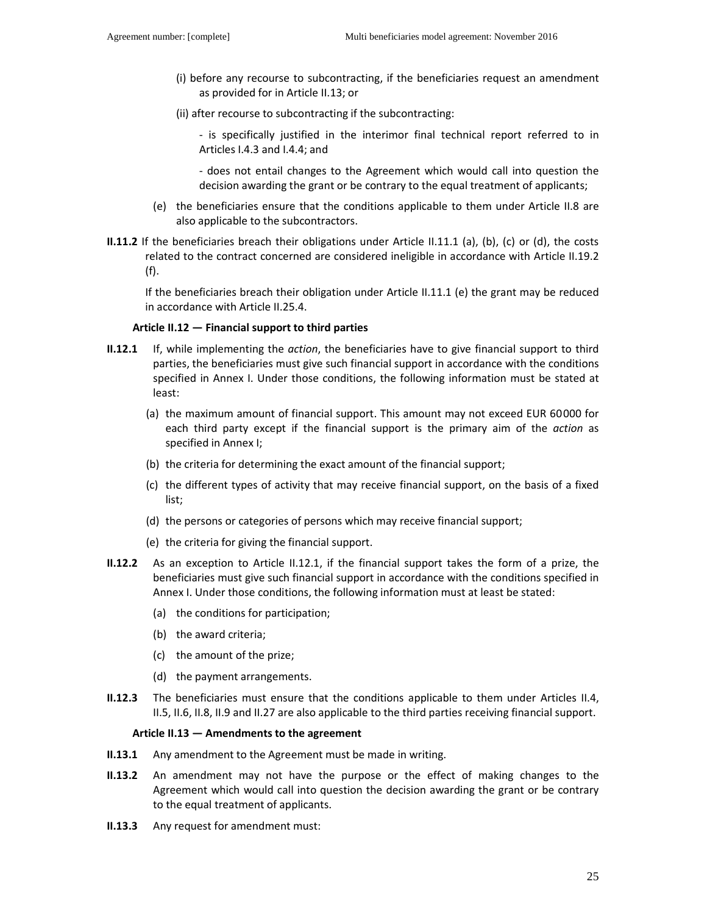- (i) before any recourse to subcontracting, if the beneficiaries request an amendment as provided for in Article II.13; or
- (ii) after recourse to subcontracting if the subcontracting:

- is specifically justified in the interimor final technical report referred to in Articles I.4.3 and I.4.4; and

- does not entail changes to the Agreement which would call into question the decision awarding the grant or be contrary to the equal treatment of applicants;

- (e) the beneficiaries ensure that the conditions applicable to them under Article II.8 are also applicable to the subcontractors.
- **II.11.2** If the beneficiaries breach their obligations under Article II.11.1 (a), (b), (c) or (d), the costs related to the contract concerned are considered ineligible in accordance with Article II.19.2 (f).

If the beneficiaries breach their obligation under Article II.11.1 (e) the grant may be reduced in accordance with Article II.25.4.

### **Article II.12 — Financial support to third parties**

- **II.12.1** If, while implementing the *action*, the beneficiaries have to give financial support to third parties, the beneficiaries must give such financial support in accordance with the conditions specified in Annex I. Under those conditions, the following information must be stated at least:
	- (a) the maximum amount of financial support. This amount may not exceed EUR 60000 for each third party except if the financial support is the primary aim of the *action* as specified in Annex I;
	- (b) the criteria for determining the exact amount of the financial support;
	- (c) the different types of activity that may receive financial support, on the basis of a fixed list;
	- (d) the persons or categories of persons which may receive financial support;
	- (e) the criteria for giving the financial support.
- **II.12.2** As an exception to Article II.12.1, if the financial support takes the form of a prize, the beneficiaries must give such financial support in accordance with the conditions specified in Annex I. Under those conditions, the following information must at least be stated:
	- (a) the conditions for participation;
	- (b) the award criteria;
	- (c) the amount of the prize;
	- (d) the payment arrangements.
- **II.12.3** The beneficiaries must ensure that the conditions applicable to them under Articles II.4, II.5, II.6, II.8, II.9 and II.27 are also applicable to the third parties receiving financial support.

#### **Article II.13 — Amendments to the agreement**

- **II.13.1** Any amendment to the Agreement must be made in writing.
- **II.13.2** An amendment may not have the purpose or the effect of making changes to the Agreement which would call into question the decision awarding the grant or be contrary to the equal treatment of applicants.
- **II.13.3** Any request for amendment must: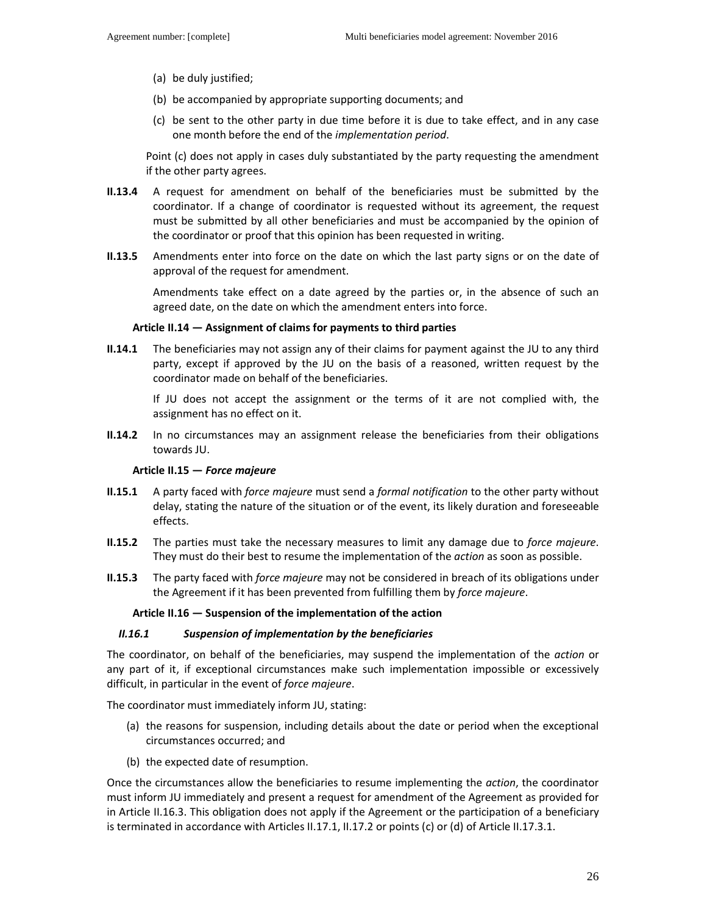- (a) be duly justified;
- (b) be accompanied by appropriate supporting documents; and
- (c) be sent to the other party in due time before it is due to take effect, and in any case one month before the end of the *implementation period*.

Point (c) does not apply in cases duly substantiated by the party requesting the amendment if the other party agrees.

- **II.13.4** A request for amendment on behalf of the beneficiaries must be submitted by the coordinator. If a change of coordinator is requested without its agreement, the request must be submitted by all other beneficiaries and must be accompanied by the opinion of the coordinator or proof that this opinion has been requested in writing.
- **II.13.5** Amendments enter into force on the date on which the last party signs or on the date of approval of the request for amendment.

Amendments take effect on a date agreed by the parties or, in the absence of such an agreed date, on the date on which the amendment enters into force.

#### **Article II.14 — Assignment of claims for payments to third parties**

**II.14.1** The beneficiaries may not assign any of their claims for payment against the JU to any third party, except if approved by the JU on the basis of a reasoned, written request by the coordinator made on behalf of the beneficiaries.

If JU does not accept the assignment or the terms of it are not complied with, the assignment has no effect on it.

**II.14.2** In no circumstances may an assignment release the beneficiaries from their obligations towards JU.

#### **Article II.15 —** *Force majeure*

- **II.15.1** A party faced with *force majeure* must send a *formal notification* to the other party without delay, stating the nature of the situation or of the event, its likely duration and foreseeable effects.
- **II.15.2** The parties must take the necessary measures to limit any damage due to *force majeure*. They must do their best to resume the implementation of the *action* as soon as possible.
- **II.15.3** The party faced with *force majeure* may not be considered in breach of its obligations under the Agreement if it has been prevented from fulfilling them by *force majeure*.

#### **Article II.16 — Suspension of the implementation of the action**

#### *II.16.1 Suspension of implementation by the beneficiaries*

The coordinator, on behalf of the beneficiaries, may suspend the implementation of the *action* or any part of it, if exceptional circumstances make such implementation impossible or excessively difficult, in particular in the event of *force majeure*.

The coordinator must immediately inform JU, stating:

- (a) the reasons for suspension, including details about the date or period when the exceptional circumstances occurred; and
- (b) the expected date of resumption.

Once the circumstances allow the beneficiaries to resume implementing the *action*, the coordinator must inform JU immediately and present a request for amendment of the Agreement as provided for in Article II.16.3. This obligation does not apply if the Agreement or the participation of a beneficiary is terminated in accordance with Articles II.17.1, II.17.2 or points (c) or (d) of Article II.17.3.1.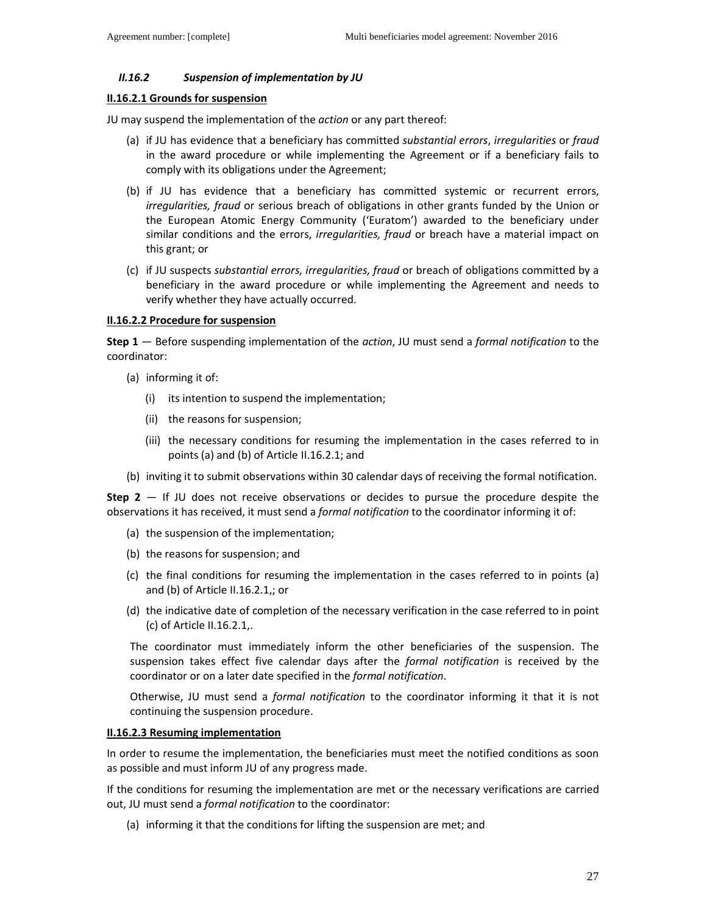### *II.16.2 Suspension of implementation by JU*

### **II.16.2.1 Grounds for suspension**

JU may suspend the implementation of the *action* or any part thereof:

- (a) if JU has evidence that a beneficiary has committed *substantial errors*, *irregularities* or *fraud* in the award procedure or while implementing the Agreement or if a beneficiary fails to comply with its obligations under the Agreement;
- (b) if JU has evidence that a beneficiary has committed systemic or recurrent errors, *irregularities, fraud* or serious breach of obligations in other grants funded by the Union or the European Atomic Energy Community ('Euratom') awarded to the beneficiary under similar conditions and the errors, *irregularities, fraud* or breach have a material impact on this grant; or
- (c) if JU suspects *substantial errors, irregularities, fraud* or breach of obligations committed by a beneficiary in the award procedure or while implementing the Agreement and needs to verify whether they have actually occurred.

#### **II.16.2.2 Procedure for suspension**

**Step 1** — Before suspending implementation of the *action*, JU must send a *formal notification* to the coordinator:

- (a) informing it of:
	- (i) its intention to suspend the implementation;
	- (ii) the reasons for suspension;
	- (iii) the necessary conditions for resuming the implementation in the cases referred to in points (a) and (b) of Article II.16.2.1; and
- (b) inviting it to submit observations within 30 calendar days of receiving the formal notification.

**Step 2** — If JU does not receive observations or decides to pursue the procedure despite the observations it has received, it must send a *formal notification* to the coordinator informing it of:

- (a) the suspension of the implementation;
- (b) the reasons for suspension; and
- (c) the final conditions for resuming the implementation in the cases referred to in points (a) and (b) of Article II.16.2.1,; or
- (d) the indicative date of completion of the necessary verification in the case referred to in point (c) of Article II.16.2.1,.

The coordinator must immediately inform the other beneficiaries of the suspension. The suspension takes effect five calendar days after the *formal notification* is received by the coordinator or on a later date specified in the *formal notification*.

Otherwise, JU must send a *formal notification* to the coordinator informing it that it is not continuing the suspension procedure.

### **II.16.2.3 Resuming implementation**

In order to resume the implementation, the beneficiaries must meet the notified conditions as soon as possible and must inform JU of any progress made.

If the conditions for resuming the implementation are met or the necessary verifications are carried out, JU must send a *formal notification* to the coordinator:

(a) informing it that the conditions for lifting the suspension are met; and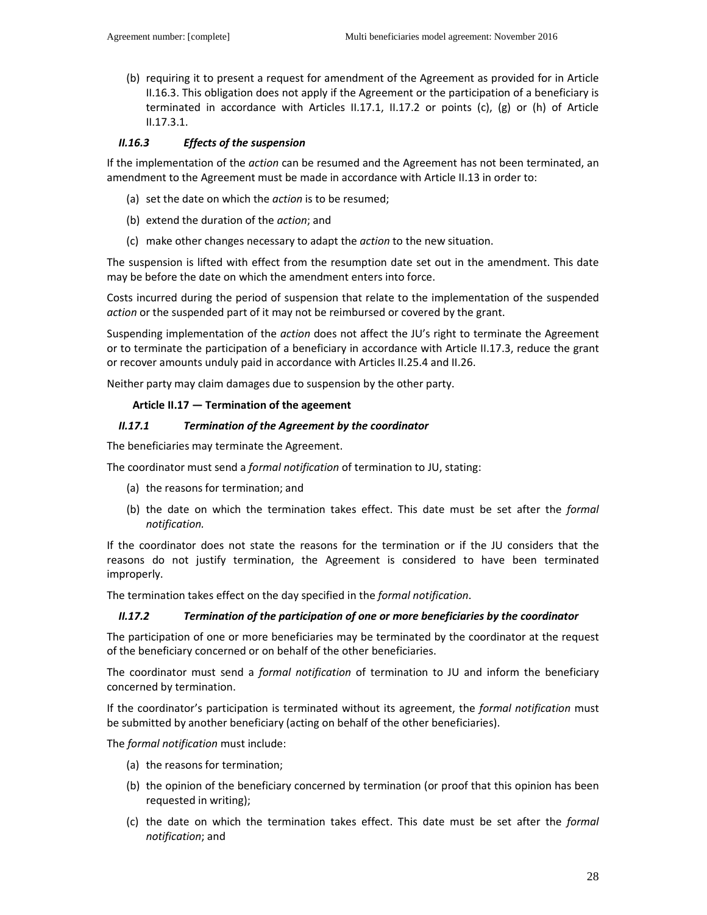(b) requiring it to present a request for amendment of the Agreement as provided for in Article II.16.3. This obligation does not apply if the Agreement or the participation of a beneficiary is terminated in accordance with Articles II.17.1, II.17.2 or points (c), (g) or (h) of Article II.17.3.1.

### *II.16.3 Effects of the suspension*

If the implementation of the *action* can be resumed and the Agreement has not been terminated, an amendment to the Agreement must be made in accordance with Article II.13 in order to:

- (a) set the date on which the *action* is to be resumed;
- (b) extend the duration of the *action*; and
- (c) make other changes necessary to adapt the *action* to the new situation.

The suspension is lifted with effect from the resumption date set out in the amendment. This date may be before the date on which the amendment enters into force.

Costs incurred during the period of suspension that relate to the implementation of the suspended *action* or the suspended part of it may not be reimbursed or covered by the grant.

Suspending implementation of the *action* does not affect the JU's right to terminate the Agreement or to terminate the participation of a beneficiary in accordance with Article II.17.3, reduce the grant or recover amounts unduly paid in accordance with Articles II.25.4 and II.26.

Neither party may claim damages due to suspension by the other party.

#### **Article II.17 — Termination of the ageement**

#### *II.17.1 Termination of the Agreement by the coordinator*

The beneficiaries may terminate the Agreement.

The coordinator must send a *formal notification* of termination to JU, stating:

- (a) the reasons for termination; and
- (b) the date on which the termination takes effect. This date must be set after the *formal notification.*

If the coordinator does not state the reasons for the termination or if the JU considers that the reasons do not justify termination, the Agreement is considered to have been terminated improperly.

The termination takes effect on the day specified in the *formal notification*.

### *II.17.2 Termination of the participation of one or more beneficiaries by the coordinator*

The participation of one or more beneficiaries may be terminated by the coordinator at the request of the beneficiary concerned or on behalf of the other beneficiaries.

The coordinator must send a *formal notification* of termination to JU and inform the beneficiary concerned by termination.

If the coordinator's participation is terminated without its agreement, the *formal notification* must be submitted by another beneficiary (acting on behalf of the other beneficiaries).

The *formal notification* must include:

- (a) the reasons for termination;
- (b) the opinion of the beneficiary concerned by termination (or proof that this opinion has been requested in writing);
- (c) the date on which the termination takes effect. This date must be set after the *formal notification*; and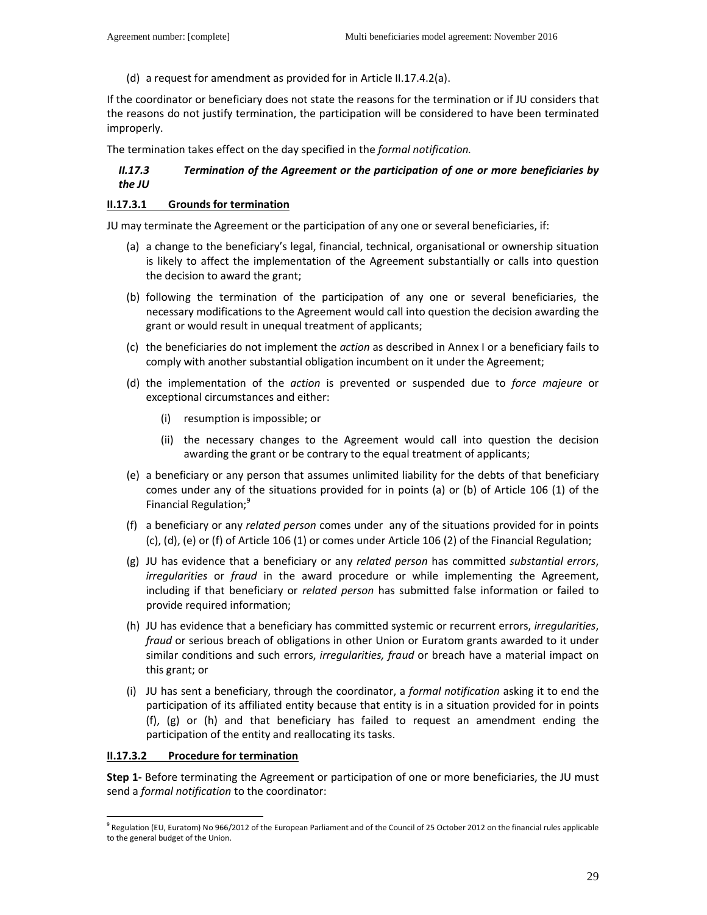(d) a request for amendment as provided for in Article II.17.4.2(a).

If the coordinator or beneficiary does not state the reasons for the termination or if JU considers that the reasons do not justify termination, the participation will be considered to have been terminated improperly.

The termination takes effect on the day specified in the *formal notification.*

# *II.17.3 Termination of the Agreement or the participation of one or more beneficiaries by the JU*

### **II.17.3.1 Grounds for termination**

JU may terminate the Agreement or the participation of any one or several beneficiaries, if:

- (a) a change to the beneficiary's legal, financial, technical, organisational or ownership situation is likely to affect the implementation of the Agreement substantially or calls into question the decision to award the grant;
- (b) following the termination of the participation of any one or several beneficiaries, the necessary modifications to the Agreement would call into question the decision awarding the grant or would result in unequal treatment of applicants;
- (c) the beneficiaries do not implement the *action* as described in Annex I or a beneficiary fails to comply with another substantial obligation incumbent on it under the Agreement;
- (d) the implementation of the *action* is prevented or suspended due to *force majeure* or exceptional circumstances and either:
	- (i) resumption is impossible; or
	- (ii) the necessary changes to the Agreement would call into question the decision awarding the grant or be contrary to the equal treatment of applicants;
- (e) a beneficiary or any person that assumes unlimited liability for the debts of that beneficiary comes under any of the situations provided for in points (a) or (b) of Article 106 (1) of the Financial Regulation;<sup>9</sup>
- (f) a beneficiary or any *related person* comes under any of the situations provided for in points (c), (d), (e) or (f) of Article 106 (1) or comes under Article 106 (2) of the Financial Regulation;
- (g) JU has evidence that a beneficiary or any *related person* has committed *substantial errors*, *irregularities* or *fraud* in the award procedure or while implementing the Agreement, including if that beneficiary or *related person* has submitted false information or failed to provide required information;
- (h) JU has evidence that a beneficiary has committed systemic or recurrent errors, *irregularities*, *fraud* or serious breach of obligations in other Union or Euratom grants awarded to it under similar conditions and such errors, *irregularities, fraud* or breach have a material impact on this grant; or
- (i) JU has sent a beneficiary, through the coordinator, a *formal notification* asking it to end the participation of its affiliated entity because that entity is in a situation provided for in points (f), (g) or (h) and that beneficiary has failed to request an amendment ending the participation of the entity and reallocating its tasks.

### **II.17.3.2 Procedure for termination**

 $\overline{a}$ 

**Step 1-** Before terminating the Agreement or participation of one or more beneficiaries, the JU must send a *formal notification* to the coordinator:

<sup>&</sup>lt;sup>9</sup> Regulation (EU, Euratom) No 966/2012 of the European Parliament and of the Council of 25 October 2012 on the financial rules applicable to the general budget of the Union.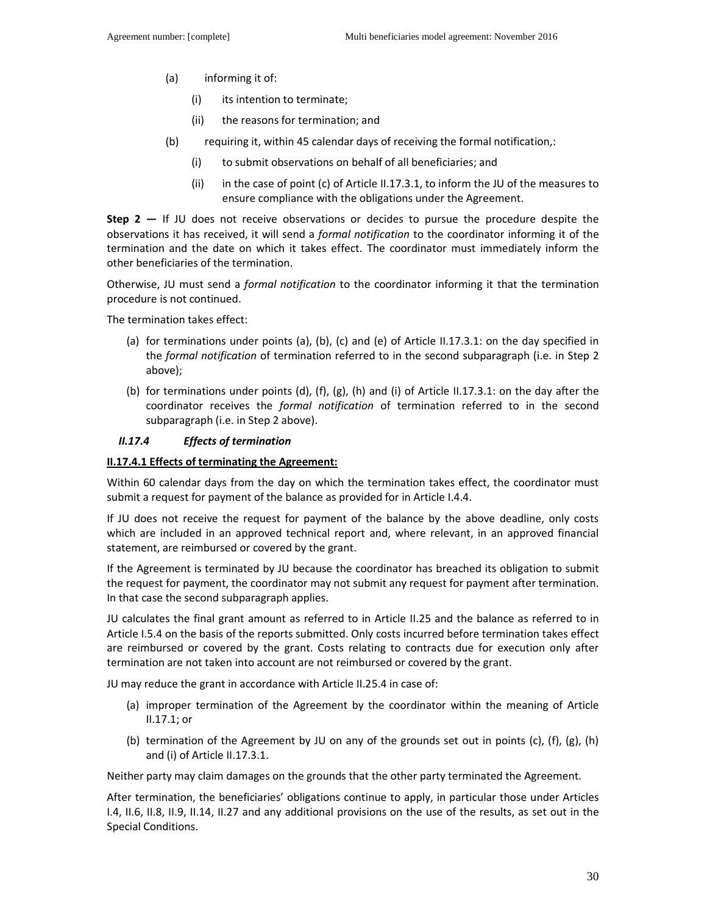- (a) informing it of:
	- (i) its intention to terminate;
	- (ii) the reasons for termination; and
- (b) requiring it, within 45 calendar days of receiving the formal notification,:
	- (i) to submit observations on behalf of all beneficiaries; and
	- (ii) in the case of point (c) of Article II.17.3.1, to inform the JU of the measures to ensure compliance with the obligations under the Agreement.

**Step 2 —** If JU does not receive observations or decides to pursue the procedure despite the observations it has received, it will send a *formal notification* to the coordinator informing it of the termination and the date on which it takes effect. The coordinator must immediately inform the other beneficiaries of the termination.

Otherwise, JU must send a *formal notification* to the coordinator informing it that the termination procedure is not continued.

The termination takes effect:

- (a) for terminations under points (a), (b), (c) and (e) of Article II.17.3.1: on the day specified in the *formal notification* of termination referred to in the second subparagraph (i.e. in Step 2 above);
- (b) for terminations under points (d), (f), (g), (h) and (i) of Article II.17.3.1: on the day after the coordinator receives the *formal notification* of termination referred to in the second subparagraph (i.e. in Step 2 above).

# *II.17.4 Effects of termination*

# **II.17.4.1 Effects of terminating the Agreement:**

Within 60 calendar days from the day on which the termination takes effect, the coordinator must submit a request for payment of the balance as provided for in Article I.4.4.

If JU does not receive the request for payment of the balance by the above deadline, only costs which are included in an approved technical report and, where relevant, in an approved financial statement, are reimbursed or covered by the grant.

If the Agreement is terminated by JU because the coordinator has breached its obligation to submit the request for payment, the coordinator may not submit any request for payment after termination. In that case the second subparagraph applies.

JU calculates the final grant amount as referred to in Article II.25 and the balance as referred to in Article I.5.4 on the basis of the reports submitted. Only costs incurred before termination takes effect are reimbursed or covered by the grant. Costs relating to contracts due for execution only after termination are not taken into account are not reimbursed or covered by the grant.

JU may reduce the grant in accordance with Article II.25.4 in case of:

- (a) improper termination of the Agreement by the coordinator within the meaning of Article II.17.1; or
- (b) termination of the Agreement by JU on any of the grounds set out in points (c), (f), (g), (h) and (i) of Article II.17.3.1.

Neither party may claim damages on the grounds that the other party terminated the Agreement.

After termination, the beneficiaries' obligations continue to apply, in particular those under Articles I.4, II.6, II.8, II.9, II.14, II.27 and any additional provisions on the use of the results, as set out in the Special Conditions.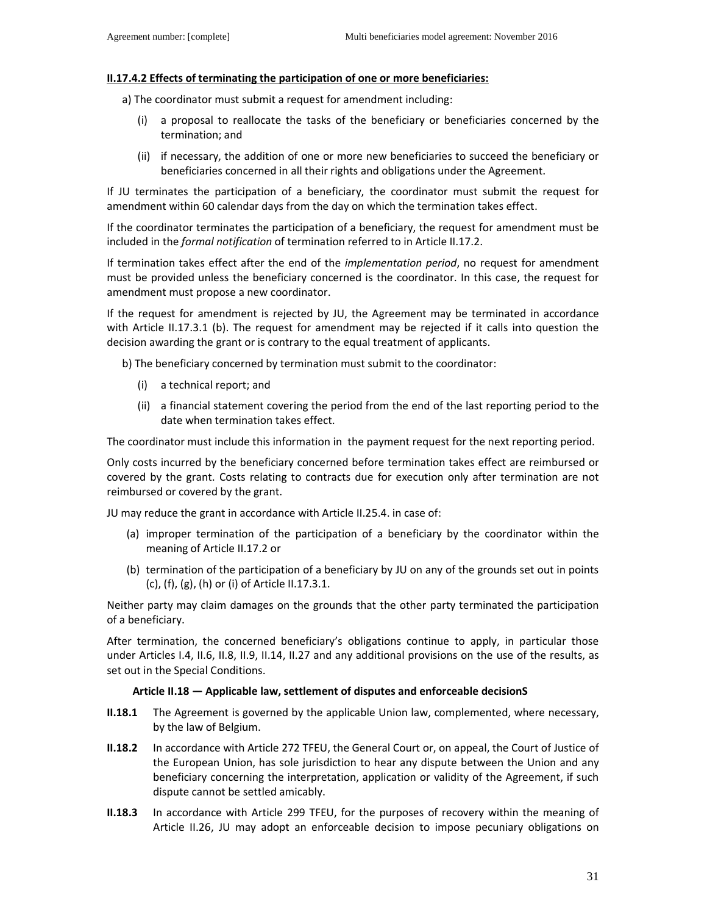### **II.17.4.2 Effects of terminating the participation of one or more beneficiaries:**

a) The coordinator must submit a request for amendment including:

- (i) a proposal to reallocate the tasks of the beneficiary or beneficiaries concerned by the termination; and
- (ii) if necessary, the addition of one or more new beneficiaries to succeed the beneficiary or beneficiaries concerned in all their rights and obligations under the Agreement.

If JU terminates the participation of a beneficiary, the coordinator must submit the request for amendment within 60 calendar days from the day on which the termination takes effect.

If the coordinator terminates the participation of a beneficiary, the request for amendment must be included in the *formal notification* of termination referred to in Article II.17.2.

If termination takes effect after the end of the *implementation period*, no request for amendment must be provided unless the beneficiary concerned is the coordinator. In this case, the request for amendment must propose a new coordinator.

If the request for amendment is rejected by JU, the Agreement may be terminated in accordance with Article II.17.3.1 (b). The request for amendment may be rejected if it calls into question the decision awarding the grant or is contrary to the equal treatment of applicants.

- b) The beneficiary concerned by termination must submit to the coordinator:
	- (i) a technical report; and
	- (ii) a financial statement covering the period from the end of the last reporting period to the date when termination takes effect.

The coordinator must include this information in the payment request for the next reporting period.

Only costs incurred by the beneficiary concerned before termination takes effect are reimbursed or covered by the grant. Costs relating to contracts due for execution only after termination are not reimbursed or covered by the grant.

JU may reduce the grant in accordance with Article II.25.4. in case of:

- (a) improper termination of the participation of a beneficiary by the coordinator within the meaning of Article II.17.2 or
- (b) termination of the participation of a beneficiary by JU on any of the grounds set out in points (c), (f), (g), (h) or (i) of Article II.17.3.1.

Neither party may claim damages on the grounds that the other party terminated the participation of a beneficiary.

After termination, the concerned beneficiary's obligations continue to apply, in particular those under Articles I.4, II.6, II.8, II.9, II.14, II.27 and any additional provisions on the use of the results, as set out in the Special Conditions.

#### **Article II.18 — Applicable law, settlement of disputes and enforceable decisionS**

- **II.18.1** The Agreement is governed by the applicable Union law, complemented, where necessary, by the law of Belgium.
- **II.18.2** In accordance with Article 272 TFEU, the General Court or, on appeal, the Court of Justice of the European Union, has sole jurisdiction to hear any dispute between the Union and any beneficiary concerning the interpretation, application or validity of the Agreement, if such dispute cannot be settled amicably.
- **II.18.3** In accordance with Article 299 TFEU, for the purposes of recovery within the meaning of Article II.26, JU may adopt an enforceable decision to impose pecuniary obligations on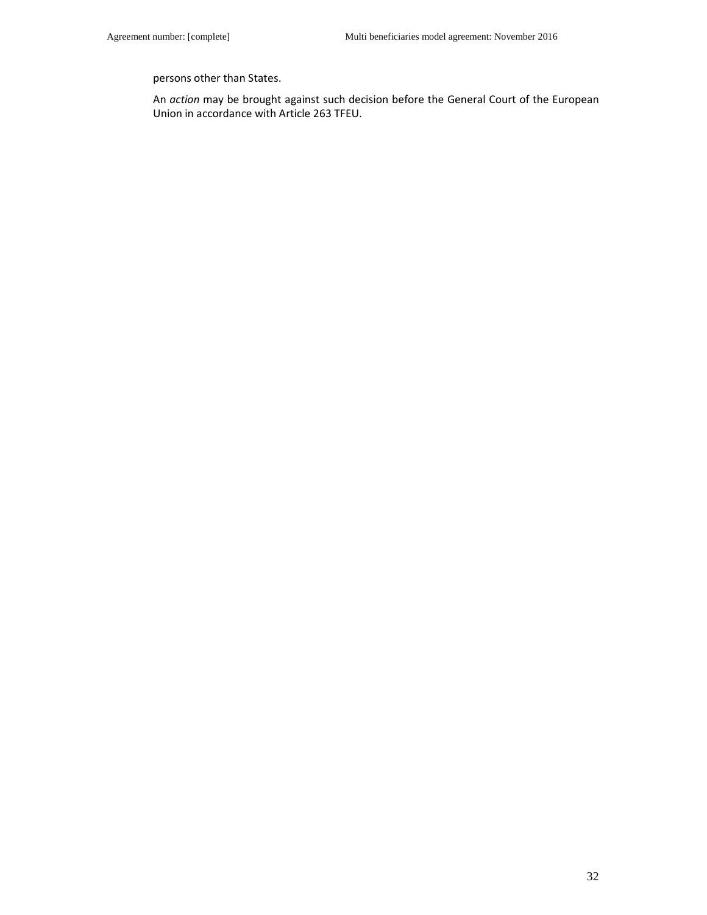persons other than States.

An *action* may be brought against such decision before the General Court of the European Union in accordance with Article 263 TFEU.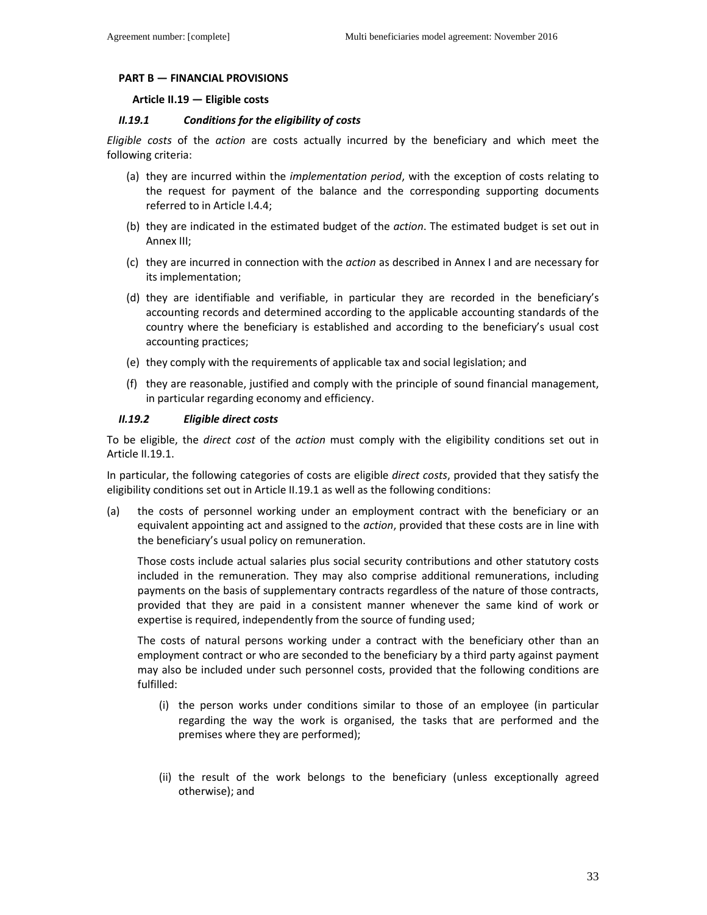# **PART B — FINANCIAL PROVISIONS**

### **Article II.19 — Eligible costs**

### *II.19.1 Conditions for the eligibility of costs*

*Eligible costs* of the *action* are costs actually incurred by the beneficiary and which meet the following criteria:

- (a) they are incurred within the *implementation period*, with the exception of costs relating to the request for payment of the balance and the corresponding supporting documents referred to in Article I.4.4;
- (b) they are indicated in the estimated budget of the *action*. The estimated budget is set out in Annex III;
- (c) they are incurred in connection with the *action* as described in Annex I and are necessary for its implementation;
- (d) they are identifiable and verifiable, in particular they are recorded in the beneficiary's accounting records and determined according to the applicable accounting standards of the country where the beneficiary is established and according to the beneficiary's usual cost accounting practices;
- (e) they comply with the requirements of applicable tax and social legislation; and
- (f) they are reasonable, justified and comply with the principle of sound financial management, in particular regarding economy and efficiency.

### *II.19.2 Eligible direct costs*

To be eligible, the *direct cost* of the *action* must comply with the eligibility conditions set out in Article II.19.1.

In particular, the following categories of costs are eligible *direct costs*, provided that they satisfy the eligibility conditions set out in Article II.19.1 as well as the following conditions:

(a) the costs of personnel working under an employment contract with the beneficiary or an equivalent appointing act and assigned to the *action*, provided that these costs are in line with the beneficiary's usual policy on remuneration.

Those costs include actual salaries plus social security contributions and other statutory costs included in the remuneration. They may also comprise additional remunerations, including payments on the basis of supplementary contracts regardless of the nature of those contracts, provided that they are paid in a consistent manner whenever the same kind of work or expertise is required, independently from the source of funding used;

The costs of natural persons working under a contract with the beneficiary other than an employment contract or who are seconded to the beneficiary by a third party against payment may also be included under such personnel costs, provided that the following conditions are fulfilled:

- (i) the person works under conditions similar to those of an employee (in particular regarding the way the work is organised, the tasks that are performed and the premises where they are performed);
- (ii) the result of the work belongs to the beneficiary (unless exceptionally agreed otherwise); and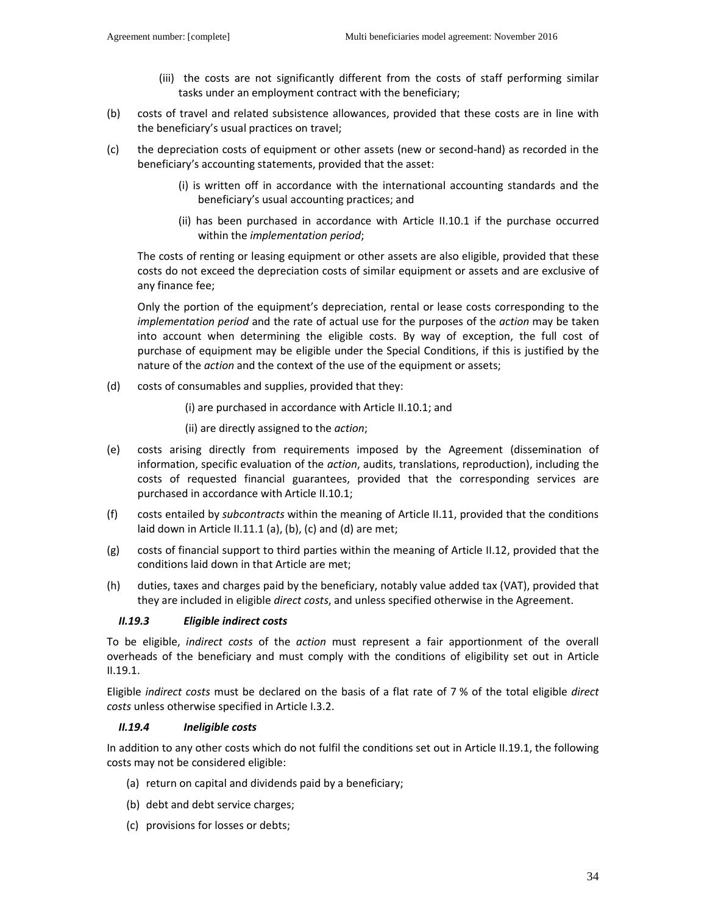- (iii) the costs are not significantly different from the costs of staff performing similar tasks under an employment contract with the beneficiary;
- (b) costs of travel and related subsistence allowances, provided that these costs are in line with the beneficiary's usual practices on travel;
- (c) the depreciation costs of equipment or other assets (new or second-hand) as recorded in the beneficiary's accounting statements, provided that the asset:
	- (i) is written off in accordance with the international accounting standards and the beneficiary's usual accounting practices; and
	- (ii) has been purchased in accordance with Article II.10.1 if the purchase occurred within the *implementation period*;

The costs of renting or leasing equipment or other assets are also eligible, provided that these costs do not exceed the depreciation costs of similar equipment or assets and are exclusive of any finance fee;

Only the portion of the equipment's depreciation, rental or lease costs corresponding to the *implementation period* and the rate of actual use for the purposes of the *action* may be taken into account when determining the eligible costs. By way of exception, the full cost of purchase of equipment may be eligible under the Special Conditions, if this is justified by the nature of the *action* and the context of the use of the equipment or assets;

(d) costs of consumables and supplies, provided that they:

(i) are purchased in accordance with Article II.10.1; and

(ii) are directly assigned to the *action*;

- (e) costs arising directly from requirements imposed by the Agreement (dissemination of information, specific evaluation of the *action*, audits, translations, reproduction), including the costs of requested financial guarantees, provided that the corresponding services are purchased in accordance with Article II.10.1;
- (f) costs entailed by *subcontracts* within the meaning of Article II.11, provided that the conditions laid down in Article II.11.1 (a), (b), (c) and (d) are met;
- (g) costs of financial support to third parties within the meaning of Article II.12, provided that the conditions laid down in that Article are met;
- (h) duties, taxes and charges paid by the beneficiary, notably value added tax (VAT), provided that they are included in eligible *direct costs*, and unless specified otherwise in the Agreement.

# *II.19.3 Eligible indirect costs*

To be eligible, *indirect costs* of the *action* must represent a fair apportionment of the overall overheads of the beneficiary and must comply with the conditions of eligibility set out in Article II.19.1.

Eligible *indirect costs* must be declared on the basis of a flat rate of 7 % of the total eligible *direct costs* unless otherwise specified in Article I.3.2.

### *II.19.4 Ineligible costs*

In addition to any other costs which do not fulfil the conditions set out in Article II.19.1, the following costs may not be considered eligible:

- (a) return on capital and dividends paid by a beneficiary;
- (b) debt and debt service charges;
- (c) provisions for losses or debts;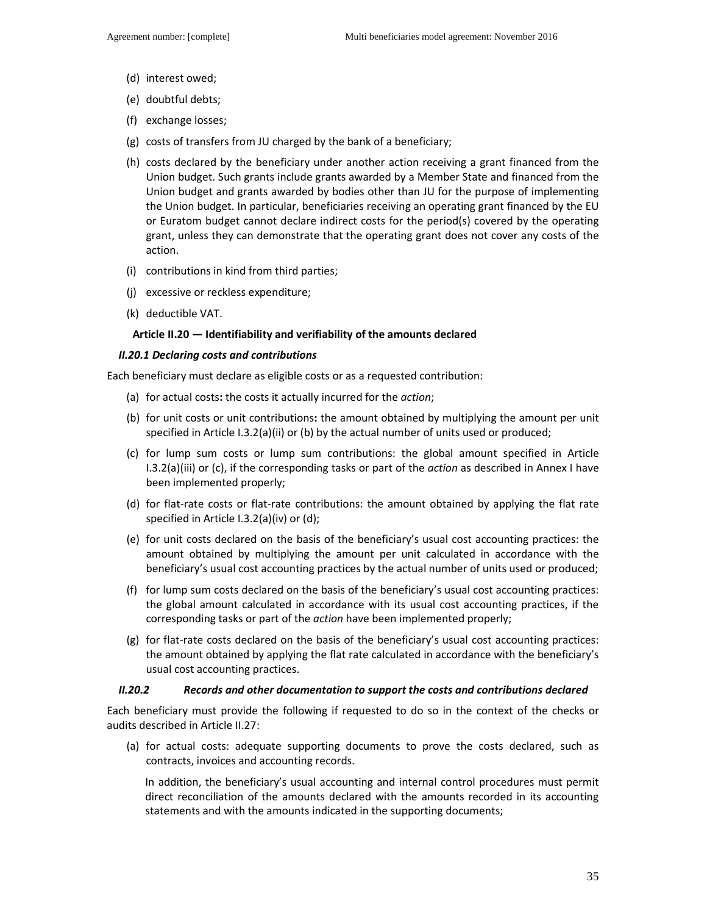- (d) interest owed;
- (e) doubtful debts;
- (f) exchange losses;
- (g) costs of transfers from JU charged by the bank of a beneficiary;
- (h) costs declared by the beneficiary under another action receiving a grant financed from the Union budget. Such grants include grants awarded by a Member State and financed from the Union budget and grants awarded by bodies other than JU for the purpose of implementing the Union budget. In particular, beneficiaries receiving an operating grant financed by the EU or Euratom budget cannot declare indirect costs for the period(s) covered by the operating grant, unless they can demonstrate that the operating grant does not cover any costs of the action.
- (i) contributions in kind from third parties;
- (j) excessive or reckless expenditure;
- (k) deductible VAT.

#### **Article II.20 — Identifiability and verifiability of the amounts declared**

#### *II.20.1 Declaring costs and contributions*

Each beneficiary must declare as eligible costs or as a requested contribution:

- (a) for actual costs**:** the costs it actually incurred for the *action*;
- (b) for unit costs or unit contributions**:** the amount obtained by multiplying the amount per unit specified in Article I.3.2(a)(ii) or (b) by the actual number of units used or produced;
- (c) for lump sum costs or lump sum contributions: the global amount specified in Article I.3.2(a)(iii) or (c), if the corresponding tasks or part of the *action* as described in Annex I have been implemented properly;
- (d) for flat-rate costs or flat-rate contributions: the amount obtained by applying the flat rate specified in Article I.3.2(a)(iv) or (d);
- (e) for unit costs declared on the basis of the beneficiary's usual cost accounting practices: the amount obtained by multiplying the amount per unit calculated in accordance with the beneficiary's usual cost accounting practices by the actual number of units used or produced;
- (f) for lump sum costs declared on the basis of the beneficiary's usual cost accounting practices: the global amount calculated in accordance with its usual cost accounting practices, if the corresponding tasks or part of the *action* have been implemented properly;
- (g) for flat-rate costs declared on the basis of the beneficiary's usual cost accounting practices: the amount obtained by applying the flat rate calculated in accordance with the beneficiary's usual cost accounting practices.

#### *II.20.2 Records and other documentation to support the costs and contributions declared*

Each beneficiary must provide the following if requested to do so in the context of the checks or audits described in Article II.27:

(a) for actual costs: adequate supporting documents to prove the costs declared, such as contracts, invoices and accounting records.

In addition, the beneficiary's usual accounting and internal control procedures must permit direct reconciliation of the amounts declared with the amounts recorded in its accounting statements and with the amounts indicated in the supporting documents;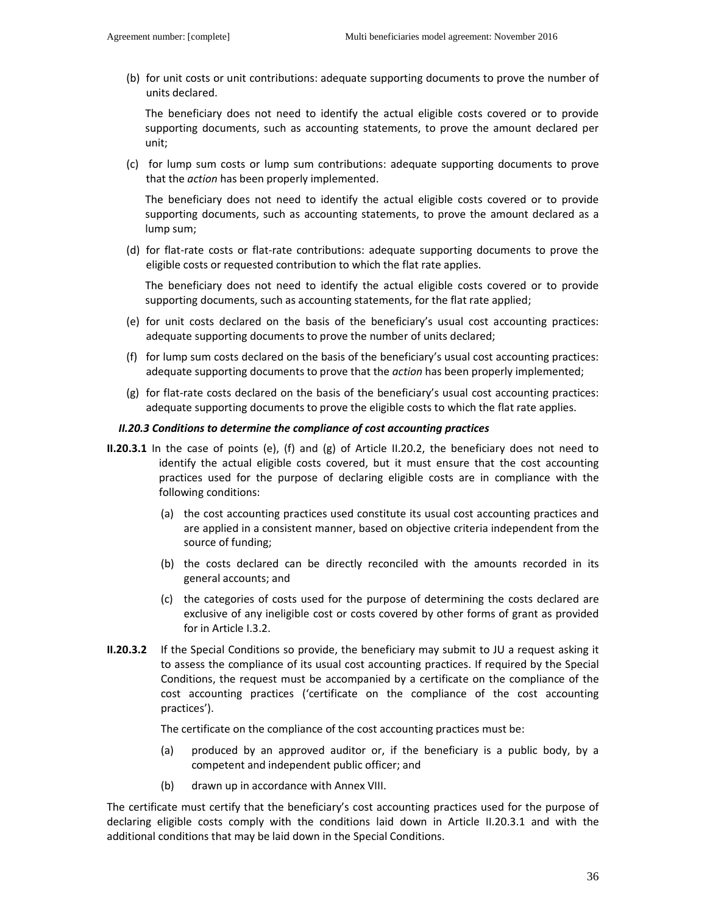(b) for unit costs or unit contributions: adequate supporting documents to prove the number of units declared.

The beneficiary does not need to identify the actual eligible costs covered or to provide supporting documents, such as accounting statements, to prove the amount declared per unit;

(c) for lump sum costs or lump sum contributions: adequate supporting documents to prove that the *action* has been properly implemented.

The beneficiary does not need to identify the actual eligible costs covered or to provide supporting documents, such as accounting statements, to prove the amount declared as a lump sum;

(d) for flat-rate costs or flat-rate contributions: adequate supporting documents to prove the eligible costs or requested contribution to which the flat rate applies.

The beneficiary does not need to identify the actual eligible costs covered or to provide supporting documents, such as accounting statements, for the flat rate applied;

- (e) for unit costs declared on the basis of the beneficiary's usual cost accounting practices: adequate supporting documents to prove the number of units declared;
- (f) for lump sum costs declared on the basis of the beneficiary's usual cost accounting practices: adequate supporting documents to prove that the *action* has been properly implemented;
- (g) for flat-rate costs declared on the basis of the beneficiary's usual cost accounting practices: adequate supporting documents to prove the eligible costs to which the flat rate applies.

#### *II.20.3 Conditions to determine the compliance of cost accounting practices*

- **II.20.3.1** In the case of points (e), (f) and (g) of Article II.20.2, the beneficiary does not need to identify the actual eligible costs covered, but it must ensure that the cost accounting practices used for the purpose of declaring eligible costs are in compliance with the following conditions:
	- (a) the cost accounting practices used constitute its usual cost accounting practices and are applied in a consistent manner, based on objective criteria independent from the source of funding;
	- (b) the costs declared can be directly reconciled with the amounts recorded in its general accounts; and
	- (c) the categories of costs used for the purpose of determining the costs declared are exclusive of any ineligible cost or costs covered by other forms of grant as provided for in Article I.3.2.
- **II.20.3.2** If the Special Conditions so provide, the beneficiary may submit to JU a request asking it to assess the compliance of its usual cost accounting practices. If required by the Special Conditions, the request must be accompanied by a certificate on the compliance of the cost accounting practices ('certificate on the compliance of the cost accounting practices').

The certificate on the compliance of the cost accounting practices must be:

- (a) produced by an approved auditor or, if the beneficiary is a public body, by a competent and independent public officer; and
- (b) drawn up in accordance with Annex VIII.

The certificate must certify that the beneficiary's cost accounting practices used for the purpose of declaring eligible costs comply with the conditions laid down in Article II.20.3.1 and with the additional conditions that may be laid down in the Special Conditions.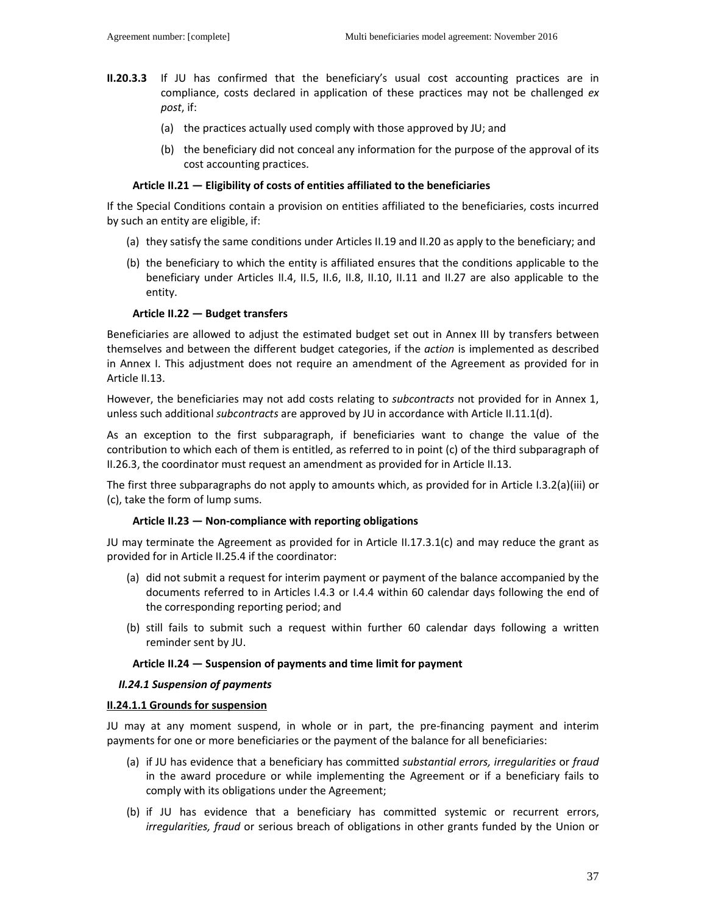- **II.20.3.3** If JU has confirmed that the beneficiary's usual cost accounting practices are in compliance, costs declared in application of these practices may not be challenged *ex post*, if:
	- (a) the practices actually used comply with those approved by JU; and
	- (b) the beneficiary did not conceal any information for the purpose of the approval of its cost accounting practices.

### **Article II.21 — Eligibility of costs of entities affiliated to the beneficiaries**

If the Special Conditions contain a provision on entities affiliated to the beneficiaries, costs incurred by such an entity are eligible, if:

- (a) they satisfy the same conditions under Articles II.19 and II.20 as apply to the beneficiary; and
- (b) the beneficiary to which the entity is affiliated ensures that the conditions applicable to the beneficiary under Articles II.4, II.5, II.6, II.8, II.10, II.11 and II.27 are also applicable to the entity.

#### **Article II.22 — Budget transfers**

Beneficiaries are allowed to adjust the estimated budget set out in Annex III by transfers between themselves and between the different budget categories, if the *action* is implemented as described in Annex I. This adjustment does not require an amendment of the Agreement as provided for in Article II.13.

However, the beneficiaries may not add costs relating to *subcontracts* not provided for in Annex 1, unless such additional *subcontracts* are approved by JU in accordance with Article II.11.1(d).

As an exception to the first subparagraph, if beneficiaries want to change the value of the contribution to which each of them is entitled, as referred to in point (c) of the third subparagraph of II.26.3, the coordinator must request an amendment as provided for in Article II.13.

The first three subparagraphs do not apply to amounts which, as provided for in Article I.3.2(a)(iii) or (c), take the form of lump sums.

### **Article II.23 — Non-compliance with reporting obligations**

JU may terminate the Agreement as provided for in Article II.17.3.1(c) and may reduce the grant as provided for in Article II.25.4 if the coordinator:

- (a) did not submit a request for interim payment or payment of the balance accompanied by the documents referred to in Articles I.4.3 or I.4.4 within 60 calendar days following the end of the corresponding reporting period; and
- (b) still fails to submit such a request within further 60 calendar days following a written reminder sent by JU.

### **Article II.24 — Suspension of payments and time limit for payment**

#### *II.24.1 Suspension of payments*

#### **II.24.1.1 Grounds for suspension**

JU may at any moment suspend, in whole or in part, the pre-financing payment and interim payments for one or more beneficiaries or the payment of the balance for all beneficiaries:

- (a) if JU has evidence that a beneficiary has committed *substantial errors, irregularities* or *fraud* in the award procedure or while implementing the Agreement or if a beneficiary fails to comply with its obligations under the Agreement;
- (b) if JU has evidence that a beneficiary has committed systemic or recurrent errors, *irregularities, fraud* or serious breach of obligations in other grants funded by the Union or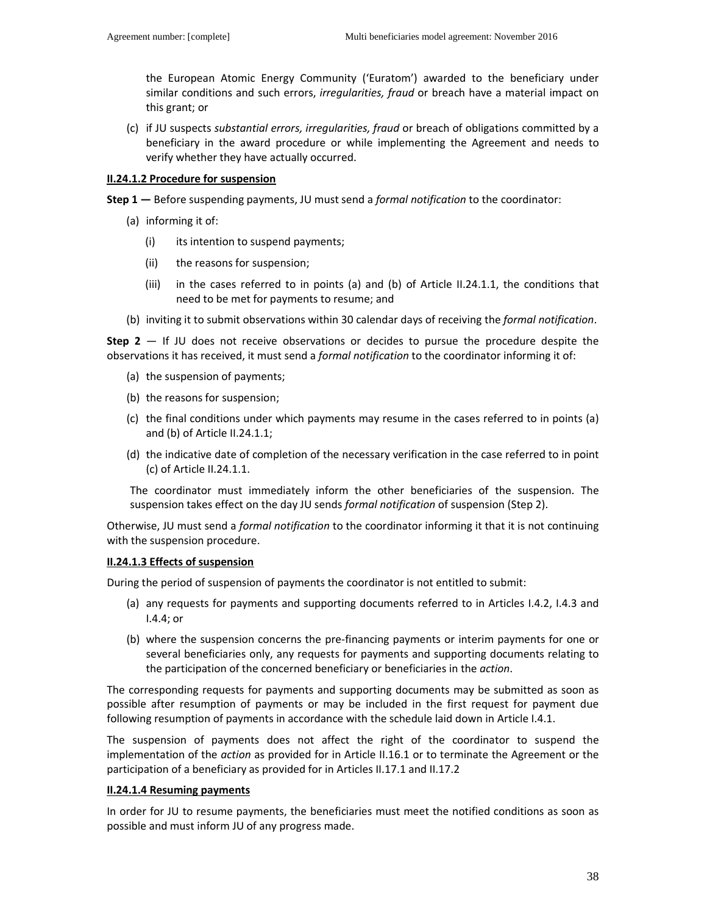the European Atomic Energy Community ('Euratom') awarded to the beneficiary under similar conditions and such errors, *irregularities, fraud* or breach have a material impact on this grant; or

(c) if JU suspects *substantial errors, irregularities, fraud* or breach of obligations committed by a beneficiary in the award procedure or while implementing the Agreement and needs to verify whether they have actually occurred.

#### **II.24.1.2 Procedure for suspension**

- **Step 1** Before suspending payments, JU must send a *formal notification* to the coordinator:
	- (a) informing it of:
		- (i) its intention to suspend payments;
		- (ii) the reasons for suspension;
		- (iii) in the cases referred to in points (a) and (b) of Article II.24.1.1, the conditions that need to be met for payments to resume; and
	- (b) inviting it to submit observations within 30 calendar days of receiving the *formal notification*.

**Step 2** — If JU does not receive observations or decides to pursue the procedure despite the observations it has received, it must send a *formal notification* to the coordinator informing it of:

- (a) the suspension of payments;
- (b) the reasons for suspension;
- (c) the final conditions under which payments may resume in the cases referred to in points (a) and (b) of Article II.24.1.1;
- (d) the indicative date of completion of the necessary verification in the case referred to in point (c) of Article II.24.1.1.

The coordinator must immediately inform the other beneficiaries of the suspension. The suspension takes effect on the day JU sends *formal notification* of suspension (Step 2).

Otherwise, JU must send a *formal notification* to the coordinator informing it that it is not continuing with the suspension procedure.

### **II.24.1.3 Effects of suspension**

During the period of suspension of payments the coordinator is not entitled to submit:

- (a) any requests for payments and supporting documents referred to in Articles I.4.2, I.4.3 and I.4.4; or
- (b) where the suspension concerns the pre-financing payments or interim payments for one or several beneficiaries only, any requests for payments and supporting documents relating to the participation of the concerned beneficiary or beneficiaries in the *action*.

The corresponding requests for payments and supporting documents may be submitted as soon as possible after resumption of payments or may be included in the first request for payment due following resumption of payments in accordance with the schedule laid down in Article I.4.1.

The suspension of payments does not affect the right of the coordinator to suspend the implementation of the *action* as provided for in Article II.16.1 or to terminate the Agreement or the participation of a beneficiary as provided for in Articles II.17.1 and II.17.2

### **II.24.1.4 Resuming payments**

In order for JU to resume payments, the beneficiaries must meet the notified conditions as soon as possible and must inform JU of any progress made.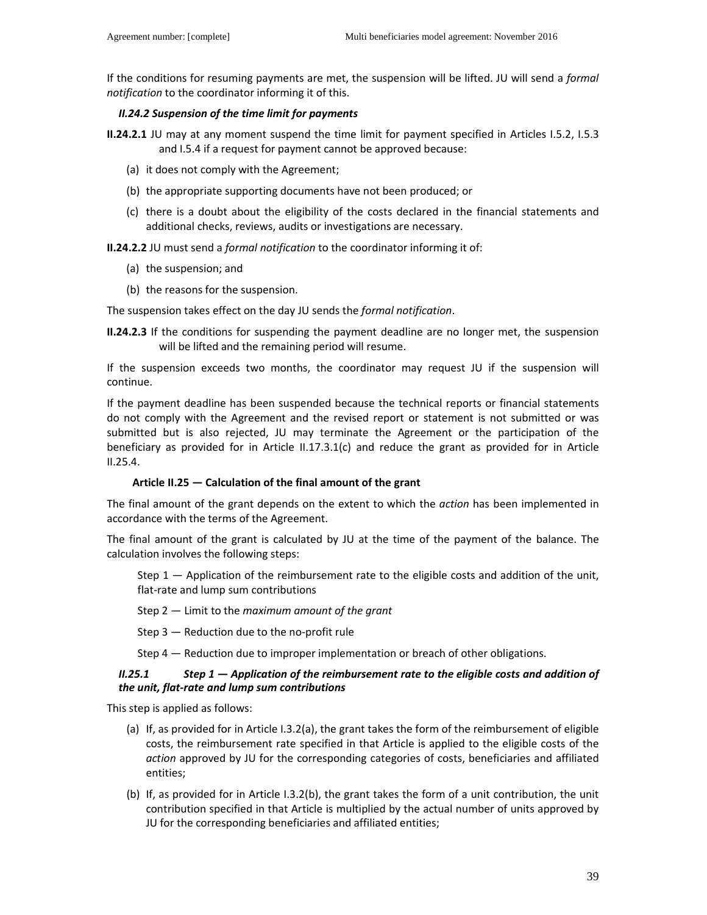If the conditions for resuming payments are met, the suspension will be lifted. JU will send a *formal notification* to the coordinator informing it of this.

### *II.24.2 Suspension of the time limit for payments*

**II.24.2.1** JU may at any moment suspend the time limit for payment specified in Articles I.5.2, I.5.3 and I.5.4 if a request for payment cannot be approved because:

- (a) it does not comply with the Agreement;
- (b) the appropriate supporting documents have not been produced; or
- (c) there is a doubt about the eligibility of the costs declared in the financial statements and additional checks, reviews, audits or investigations are necessary.

**II.24.2.2** JU must send a *formal notification* to the coordinator informing it of:

- (a) the suspension; and
- (b) the reasons for the suspension.

The suspension takes effect on the day JU sends the *formal notification*.

**II.24.2.3** If the conditions for suspending the payment deadline are no longer met, the suspension will be lifted and the remaining period will resume.

If the suspension exceeds two months, the coordinator may request JU if the suspension will continue.

If the payment deadline has been suspended because the technical reports or financial statements do not comply with the Agreement and the revised report or statement is not submitted or was submitted but is also rejected, JU may terminate the Agreement or the participation of the beneficiary as provided for in Article II.17.3.1(c) and reduce the grant as provided for in Article II.25.4.

### **Article II.25 — Calculation of the final amount of the grant**

The final amount of the grant depends on the extent to which the *action* has been implemented in accordance with the terms of the Agreement.

The final amount of the grant is calculated by JU at the time of the payment of the balance. The calculation involves the following steps:

Step 1 — Application of the reimbursement rate to the eligible costs and addition of the unit, flat-rate and lump sum contributions

Step 2 — Limit to the *maximum amount of the grant*

Step 3 — Reduction due to the no-profit rule

Step 4 — Reduction due to improper implementation or breach of other obligations.

### *II.25.1 Step 1 — Application of the reimbursement rate to the eligible costs and addition of the unit, flat-rate and lump sum contributions*

This step is applied as follows:

- (a) If, as provided for in Article I.3.2(a), the grant takes the form of the reimbursement of eligible costs, the reimbursement rate specified in that Article is applied to the eligible costs of the *action* approved by JU for the corresponding categories of costs, beneficiaries and affiliated entities;
- (b) If, as provided for in Article I.3.2(b), the grant takes the form of a unit contribution, the unit contribution specified in that Article is multiplied by the actual number of units approved by JU for the corresponding beneficiaries and affiliated entities;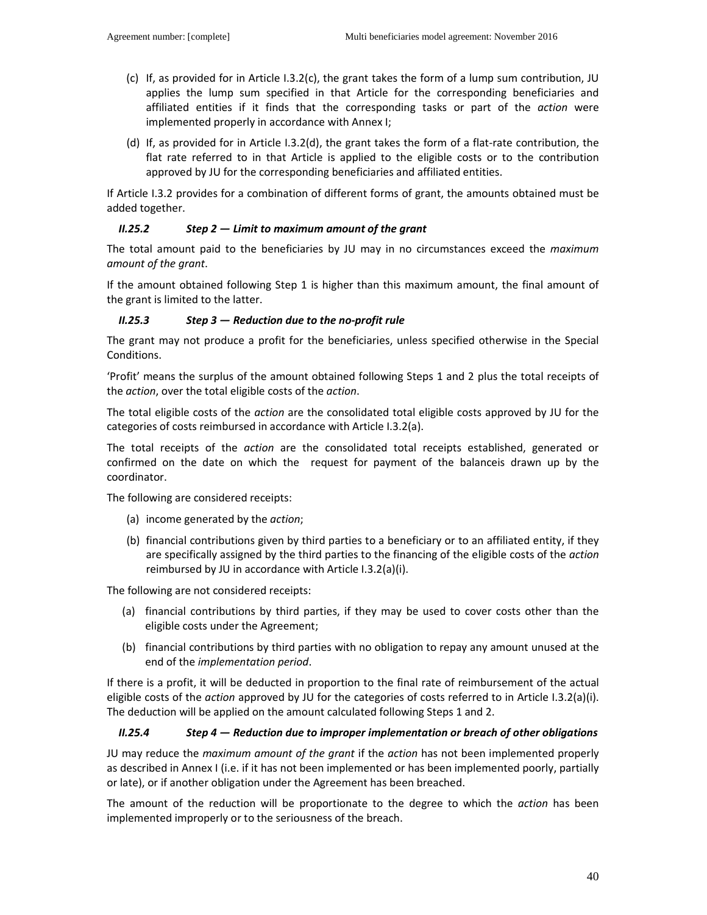- (c) If, as provided for in Article I.3.2(c), the grant takes the form of a lump sum contribution, JU applies the lump sum specified in that Article for the corresponding beneficiaries and affiliated entities if it finds that the corresponding tasks or part of the *action* were implemented properly in accordance with Annex I;
- (d) If, as provided for in Article I.3.2(d), the grant takes the form of a flat-rate contribution, the flat rate referred to in that Article is applied to the eligible costs or to the contribution approved by JU for the corresponding beneficiaries and affiliated entities.

If Article I.3.2 provides for a combination of different forms of grant, the amounts obtained must be added together.

### *II.25.2 Step 2 — Limit to maximum amount of the grant*

The total amount paid to the beneficiaries by JU may in no circumstances exceed the *maximum amount of the grant*.

If the amount obtained following Step 1 is higher than this maximum amount, the final amount of the grant is limited to the latter.

#### *II.25.3 Step 3 — Reduction due to the no-profit rule*

The grant may not produce a profit for the beneficiaries, unless specified otherwise in the Special Conditions.

'Profit' means the surplus of the amount obtained following Steps 1 and 2 plus the total receipts of the *action*, over the total eligible costs of the *action*.

The total eligible costs of the *action* are the consolidated total eligible costs approved by JU for the categories of costs reimbursed in accordance with Article I.3.2(a).

The total receipts of the *action* are the consolidated total receipts established, generated or confirmed on the date on which the request for payment of the balanceis drawn up by the coordinator.

The following are considered receipts:

- (a) income generated by the *action*;
- (b) financial contributions given by third parties to a beneficiary or to an affiliated entity, if they are specifically assigned by the third parties to the financing of the eligible costs of the *action* reimbursed by JU in accordance with Article I.3.2(a)(i).

The following are not considered receipts:

- (a) financial contributions by third parties, if they may be used to cover costs other than the eligible costs under the Agreement;
- (b) financial contributions by third parties with no obligation to repay any amount unused at the end of the *implementation period*.

If there is a profit, it will be deducted in proportion to the final rate of reimbursement of the actual eligible costs of the *action* approved by JU for the categories of costs referred to in Article I.3.2(a)(i). The deduction will be applied on the amount calculated following Steps 1 and 2.

#### *II.25.4 Step 4 — Reduction due to improper implementation or breach of other obligations*

JU may reduce the *maximum amount of the grant* if the *action* has not been implemented properly as described in Annex I (i.e. if it has not been implemented or has been implemented poorly, partially or late), or if another obligation under the Agreement has been breached.

The amount of the reduction will be proportionate to the degree to which the *action* has been implemented improperly or to the seriousness of the breach.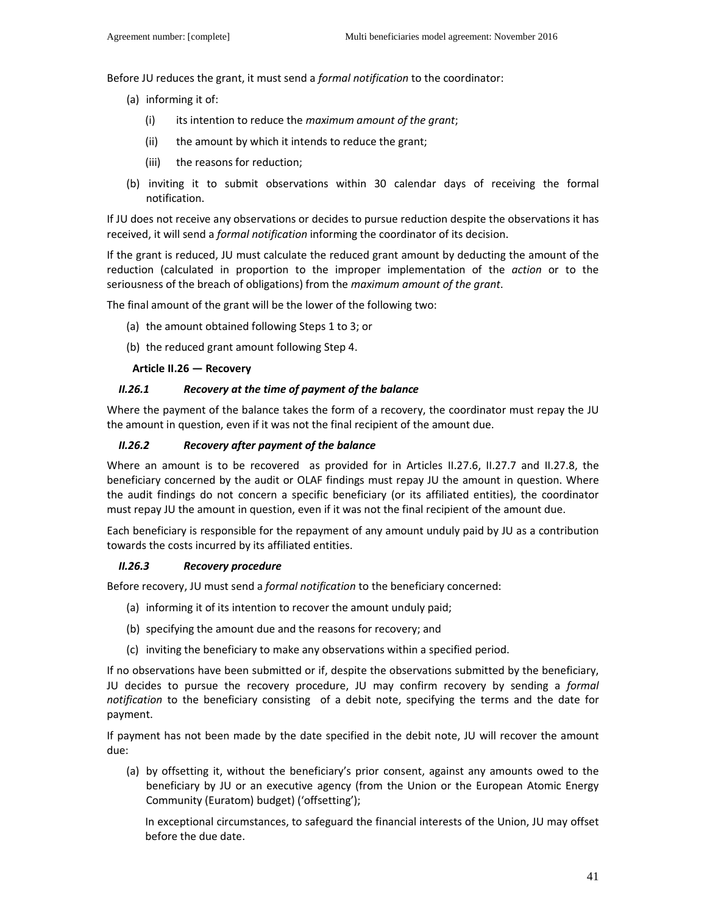Before JU reduces the grant, it must send a *formal notification* to the coordinator:

- (a) informing it of:
	- (i) its intention to reduce the *maximum amount of the grant*;
	- (ii) the amount by which it intends to reduce the grant;
	- (iii) the reasons for reduction;
- (b) inviting it to submit observations within 30 calendar days of receiving the formal notification.

If JU does not receive any observations or decides to pursue reduction despite the observations it has received, it will send a *formal notification* informing the coordinator of its decision.

If the grant is reduced, JU must calculate the reduced grant amount by deducting the amount of the reduction (calculated in proportion to the improper implementation of the *action* or to the seriousness of the breach of obligations) from the *maximum amount of the grant*.

The final amount of the grant will be the lower of the following two:

- (a) the amount obtained following Steps 1 to 3; or
- (b) the reduced grant amount following Step 4.

#### **Article II.26 — Recovery**

#### *II.26.1 Recovery at the time of payment of the balance*

Where the payment of the balance takes the form of a recovery, the coordinator must repay the JU the amount in question, even if it was not the final recipient of the amount due.

### *II.26.2 Recovery after payment of the balance*

Where an amount is to be recovered as provided for in Articles II.27.6, II.27.7 and II.27.8, the beneficiary concerned by the audit or OLAF findings must repay JU the amount in question. Where the audit findings do not concern a specific beneficiary (or its affiliated entities), the coordinator must repay JU the amount in question, even if it was not the final recipient of the amount due.

Each beneficiary is responsible for the repayment of any amount unduly paid by JU as a contribution towards the costs incurred by its affiliated entities.

#### *II.26.3 Recovery procedure*

Before recovery, JU must send a *formal notification* to the beneficiary concerned:

- (a) informing it of its intention to recover the amount unduly paid;
- (b) specifying the amount due and the reasons for recovery; and
- (c) inviting the beneficiary to make any observations within a specified period.

If no observations have been submitted or if, despite the observations submitted by the beneficiary, JU decides to pursue the recovery procedure, JU may confirm recovery by sending a *formal notification* to the beneficiary consisting of a debit note, specifying the terms and the date for payment.

If payment has not been made by the date specified in the debit note, JU will recover the amount due:

(a) by offsetting it, without the beneficiary's prior consent, against any amounts owed to the beneficiary by JU or an executive agency (from the Union or the European Atomic Energy Community (Euratom) budget) ('offsetting');

In exceptional circumstances, to safeguard the financial interests of the Union, JU may offset before the due date.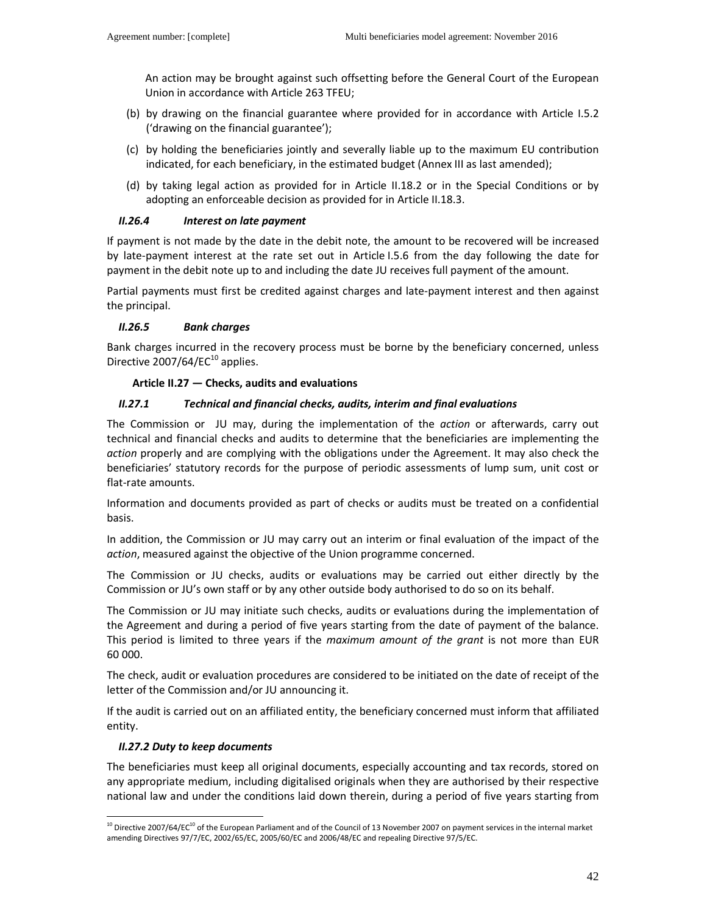An action may be brought against such offsetting before the General Court of the European Union in accordance with Article 263 TFEU;

- (b) by drawing on the financial guarantee where provided for in accordance with Article I.5.2 ('drawing on the financial guarantee');
- (c) by holding the beneficiaries jointly and severally liable up to the maximum EU contribution indicated, for each beneficiary, in the estimated budget (Annex III as last amended);
- (d) by taking legal action as provided for in Article II.18.2 or in the Special Conditions or by adopting an enforceable decision as provided for in Article II.18.3.

# *II.26.4 Interest on late payment*

If payment is not made by the date in the debit note, the amount to be recovered will be increased by late-payment interest at the rate set out in Article I.5.6 from the day following the date for payment in the debit note up to and including the date JU receives full payment of the amount.

Partial payments must first be credited against charges and late-payment interest and then against the principal.

# *II.26.5 Bank charges*

Bank charges incurred in the recovery process must be borne by the beneficiary concerned, unless Directive  $2007/64/EC^{10}$  applies.

# **Article II.27 — Checks, audits and evaluations**

# *II.27.1 Technical and financial checks, audits, interim and final evaluations*

The Commission or JU may, during the implementation of the *action* or afterwards, carry out technical and financial checks and audits to determine that the beneficiaries are implementing the *action* properly and are complying with the obligations under the Agreement. It may also check the beneficiaries' statutory records for the purpose of periodic assessments of lump sum, unit cost or flat-rate amounts.

Information and documents provided as part of checks or audits must be treated on a confidential basis.

In addition, the Commission or JU may carry out an interim or final evaluation of the impact of the *action*, measured against the objective of the Union programme concerned.

The Commission or JU checks, audits or evaluations may be carried out either directly by the Commission or JU's own staff or by any other outside body authorised to do so on its behalf.

The Commission or JU may initiate such checks, audits or evaluations during the implementation of the Agreement and during a period of five years starting from the date of payment of the balance. This period is limited to three years if the *maximum amount of the grant* is not more than EUR 60 000.

The check, audit or evaluation procedures are considered to be initiated on the date of receipt of the letter of the Commission and/or JU announcing it.

If the audit is carried out on an affiliated entity, the beneficiary concerned must inform that affiliated entity.

### *II.27.2 Duty to keep documents*

 $\overline{a}$ 

The beneficiaries must keep all original documents, especially accounting and tax records, stored on any appropriate medium, including digitalised originals when they are authorised by their respective national law and under the conditions laid down therein, during a period of five years starting from

 $10$  Directive 2007/64/EC $10$  of the European Parliament and of the Council of 13 November 2007 on payment services in the internal market amending Directives 97/7/EC, 2002/65/EC, 2005/60/EC and 2006/48/EC and repealing Directive 97/5/EC.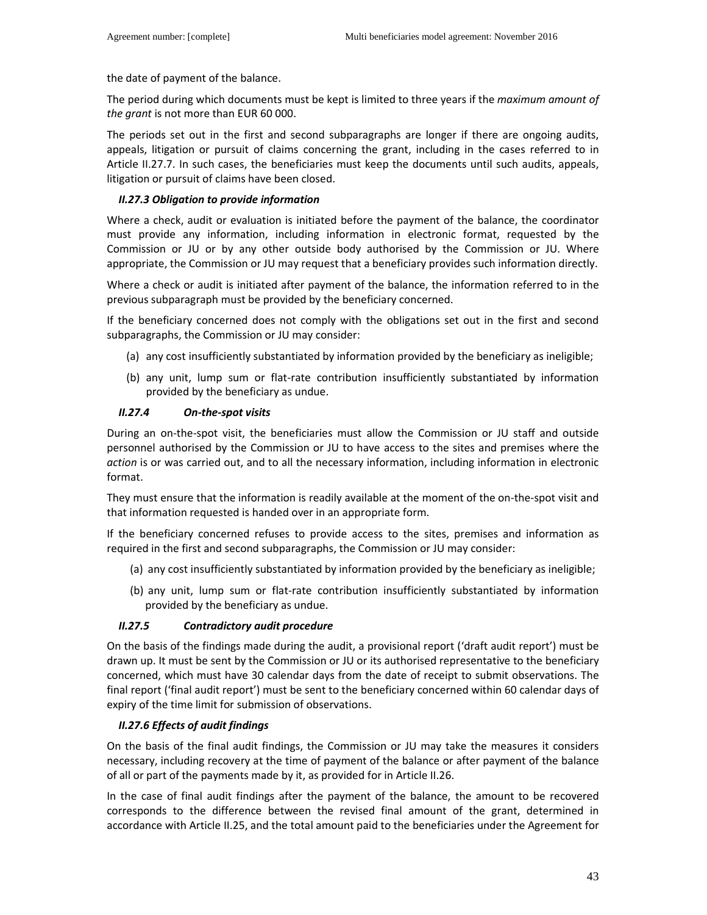the date of payment of the balance.

The period during which documents must be kept is limited to three years if the *maximum amount of the grant* is not more than EUR 60 000.

The periods set out in the first and second subparagraphs are longer if there are ongoing audits, appeals, litigation or pursuit of claims concerning the grant, including in the cases referred to in Article II.27.7. In such cases, the beneficiaries must keep the documents until such audits, appeals, litigation or pursuit of claims have been closed.

### *II.27.3 Obligation to provide information*

Where a check, audit or evaluation is initiated before the payment of the balance, the coordinator must provide any information, including information in electronic format, requested by the Commission or JU or by any other outside body authorised by the Commission or JU. Where appropriate, the Commission or JU may request that a beneficiary provides such information directly.

Where a check or audit is initiated after payment of the balance, the information referred to in the previous subparagraph must be provided by the beneficiary concerned.

If the beneficiary concerned does not comply with the obligations set out in the first and second subparagraphs, the Commission or JU may consider:

- (a) any cost insufficiently substantiated by information provided by the beneficiary as ineligible;
- (b) any unit, lump sum or flat-rate contribution insufficiently substantiated by information provided by the beneficiary as undue.

### *II.27.4 On-the-spot visits*

During an on-the-spot visit, the beneficiaries must allow the Commission or JU staff and outside personnel authorised by the Commission or JU to have access to the sites and premises where the *action* is or was carried out, and to all the necessary information, including information in electronic format.

They must ensure that the information is readily available at the moment of the on-the-spot visit and that information requested is handed over in an appropriate form.

If the beneficiary concerned refuses to provide access to the sites, premises and information as required in the first and second subparagraphs, the Commission or JU may consider:

- (a) any cost insufficiently substantiated by information provided by the beneficiary as ineligible;
- (b) any unit, lump sum or flat-rate contribution insufficiently substantiated by information provided by the beneficiary as undue.

### *II.27.5 Contradictory audit procedure*

On the basis of the findings made during the audit, a provisional report ('draft audit report') must be drawn up. It must be sent by the Commission or JU or its authorised representative to the beneficiary concerned, which must have 30 calendar days from the date of receipt to submit observations. The final report ('final audit report') must be sent to the beneficiary concerned within 60 calendar days of expiry of the time limit for submission of observations.

### *II.27.6 Effects of audit findings*

On the basis of the final audit findings, the Commission or JU may take the measures it considers necessary, including recovery at the time of payment of the balance or after payment of the balance of all or part of the payments made by it, as provided for in Article II.26.

In the case of final audit findings after the payment of the balance, the amount to be recovered corresponds to the difference between the revised final amount of the grant, determined in accordance with Article II.25, and the total amount paid to the beneficiaries under the Agreement for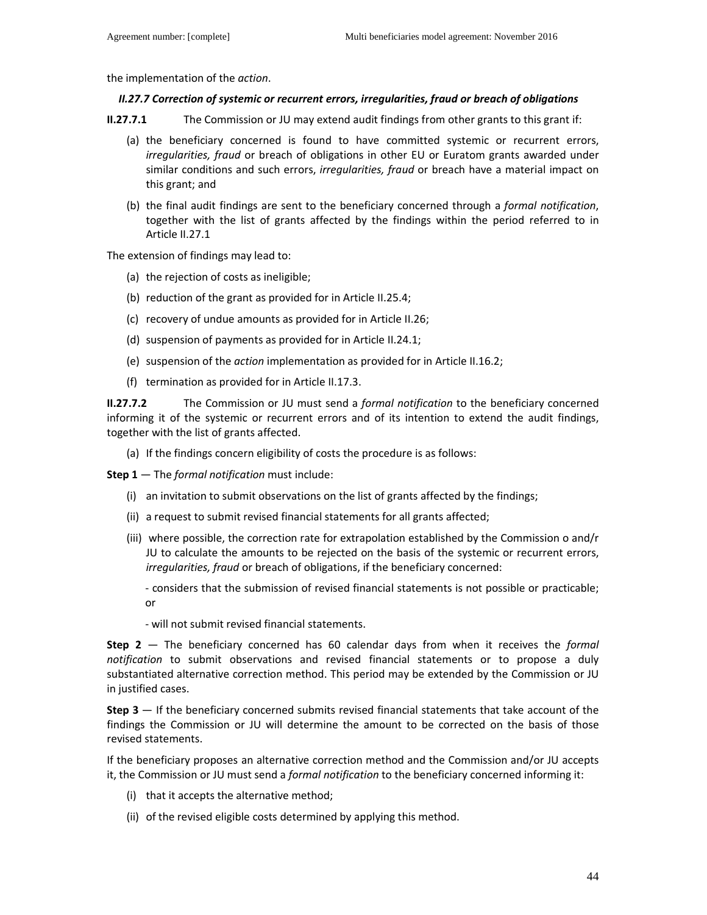the implementation of the *action*.

#### *II.27.7 Correction of systemic or recurrent errors, irregularities, fraud or breach of obligations*

**II.27.7.1** The Commission or JU may extend audit findings from other grants to this grant if:

- (a) the beneficiary concerned is found to have committed systemic or recurrent errors, *irregularities, fraud* or breach of obligations in other EU or Euratom grants awarded under similar conditions and such errors, *irregularities, fraud* or breach have a material impact on this grant; and
- (b) the final audit findings are sent to the beneficiary concerned through a *formal notification*, together with the list of grants affected by the findings within the period referred to in Article II.27.1

The extension of findings may lead to:

- (a) the rejection of costs as ineligible;
- (b) reduction of the grant as provided for in Article II.25.4;
- (c) recovery of undue amounts as provided for in Article II.26;
- (d) suspension of payments as provided for in Article II.24.1;
- (e) suspension of the *action* implementation as provided for in Article II.16.2;
- (f) termination as provided for in Article II.17.3.

**II.27.7.2** The Commission or JU must send a *formal notification* to the beneficiary concerned informing it of the systemic or recurrent errors and of its intention to extend the audit findings, together with the list of grants affected.

(a) If the findings concern eligibility of costs the procedure is as follows:

**Step 1** — The *formal notification* must include:

- (i) an invitation to submit observations on the list of grants affected by the findings;
- (ii) a request to submit revised financial statements for all grants affected;
- (iii) where possible, the correction rate for extrapolation established by the Commission o and/r JU to calculate the amounts to be rejected on the basis of the systemic or recurrent errors, *irregularities, fraud* or breach of obligations, if the beneficiary concerned:
	- considers that the submission of revised financial statements is not possible or practicable; or
	- will not submit revised financial statements.

**Step 2** — The beneficiary concerned has 60 calendar days from when it receives the *formal notification* to submit observations and revised financial statements or to propose a duly substantiated alternative correction method. This period may be extended by the Commission or JU in justified cases.

**Step 3** — If the beneficiary concerned submits revised financial statements that take account of the findings the Commission or JU will determine the amount to be corrected on the basis of those revised statements.

If the beneficiary proposes an alternative correction method and the Commission and/or JU accepts it, the Commission or JU must send a *formal notification* to the beneficiary concerned informing it:

- (i) that it accepts the alternative method;
- (ii) of the revised eligible costs determined by applying this method.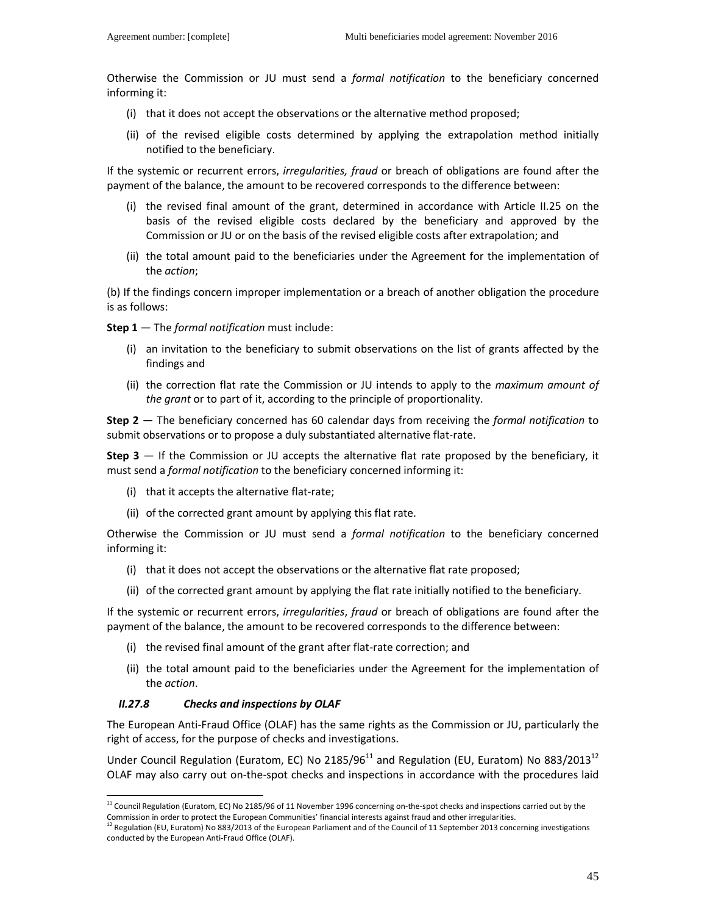Otherwise the Commission or JU must send a *formal notification* to the beneficiary concerned informing it:

- (i) that it does not accept the observations or the alternative method proposed;
- (ii) of the revised eligible costs determined by applying the extrapolation method initially notified to the beneficiary.

If the systemic or recurrent errors, *irregularities, fraud* or breach of obligations are found after the payment of the balance, the amount to be recovered corresponds to the difference between:

- (i) the revised final amount of the grant, determined in accordance with Article II.25 on the basis of the revised eligible costs declared by the beneficiary and approved by the Commission or JU or on the basis of the revised eligible costs after extrapolation; and
- (ii) the total amount paid to the beneficiaries under the Agreement for the implementation of the *action*;

(b) If the findings concern improper implementation or a breach of another obligation the procedure is as follows:

**Step 1** — The *formal notification* must include:

- (i) an invitation to the beneficiary to submit observations on the list of grants affected by the findings and
- (ii) the correction flat rate the Commission or JU intends to apply to the *maximum amount of the grant* or to part of it, according to the principle of proportionality.

**Step 2** — The beneficiary concerned has 60 calendar days from receiving the *formal notification* to submit observations or to propose a duly substantiated alternative flat-rate.

**Step 3** — If the Commission or JU accepts the alternative flat rate proposed by the beneficiary, it must send a *formal notification* to the beneficiary concerned informing it:

- (i) that it accepts the alternative flat-rate;
- (ii) of the corrected grant amount by applying this flat rate.

Otherwise the Commission or JU must send a *formal notification* to the beneficiary concerned informing it:

- (i) that it does not accept the observations or the alternative flat rate proposed;
- (ii) of the corrected grant amount by applying the flat rate initially notified to the beneficiary.

If the systemic or recurrent errors, *irregularities*, *fraud* or breach of obligations are found after the payment of the balance, the amount to be recovered corresponds to the difference between:

- (i) the revised final amount of the grant after flat-rate correction; and
- (ii) the total amount paid to the beneficiaries under the Agreement for the implementation of the *action*.

### *II.27.8 Checks and inspections by OLAF*

 $\overline{a}$ 

The European Anti-Fraud Office (OLAF) has the same rights as the Commission or JU, particularly the right of access, for the purpose of checks and investigations.

Under Council Regulation (Euratom, EC) No 2185/96 $^{11}$  and Regulation (EU, Euratom) No 883/2013<sup>12</sup> OLAF may also carry out on-the-spot checks and inspections in accordance with the procedures laid

<sup>&</sup>lt;sup>11</sup> Council Regulation (Euratom, EC) No 2185/96 of 11 November 1996 concerning on-the-spot checks and inspections carried out by the Commission in order to protect the European Communities' financial interests against fraud and other irregularities.

 $12$  Regulation (EU, Euratom) No 883/2013 of the European Parliament and of the Council of 11 September 2013 concerning investigations conducted by the European Anti-Fraud Office (OLAF).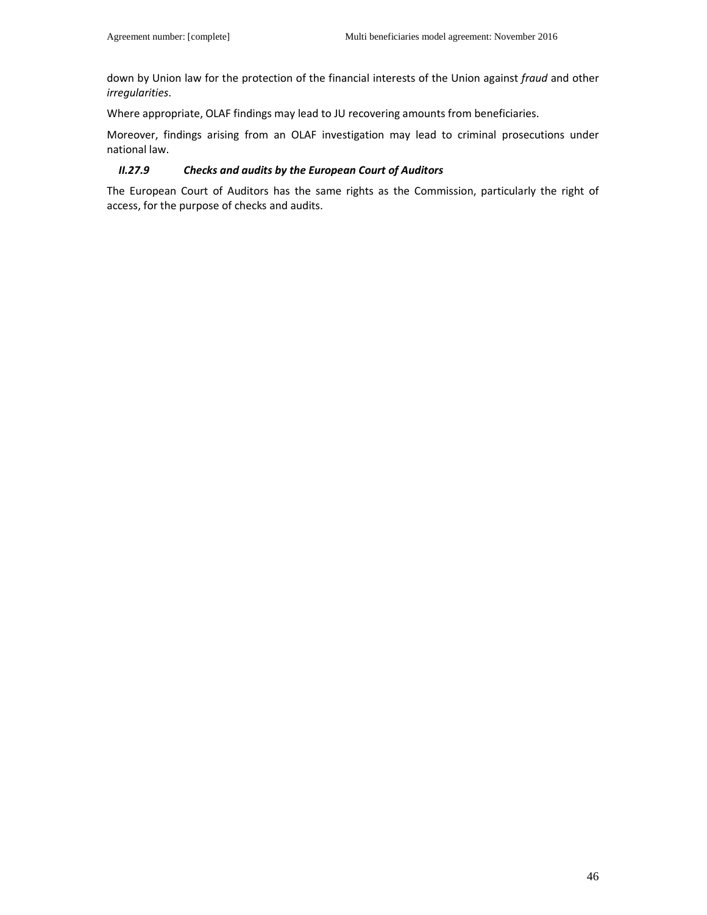down by Union law for the protection of the financial interests of the Union against *fraud* and other *irregularities*.

Where appropriate, OLAF findings may lead to JU recovering amounts from beneficiaries.

Moreover, findings arising from an OLAF investigation may lead to criminal prosecutions under national law.

### *II.27.9 Checks and audits by the European Court of Auditors*

The European Court of Auditors has the same rights as the Commission, particularly the right of access, for the purpose of checks and audits.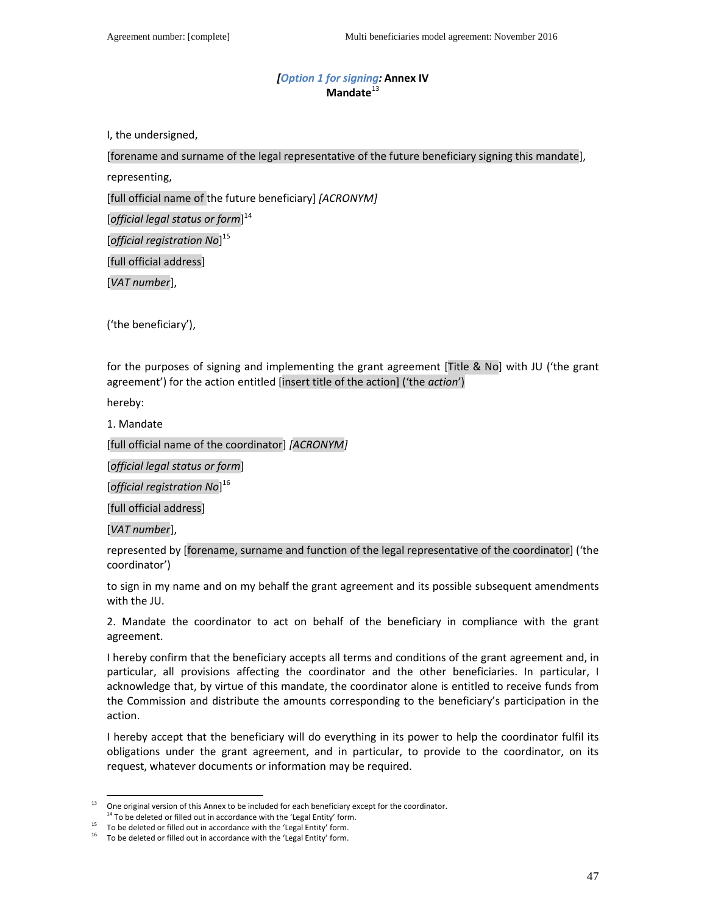# *[Option 1 for signing:* **Annex IV**  Mandate<sup>13</sup>

I, the undersigned,

[forename and surname of the legal representative of the future beneficiary signing this mandate],

representing,

[full official name of the future beneficiary] *[ACRONYM]*

[*official legal status or form*] 14

[*official registration No*] 15

[full official address]

[*VAT number*],

('the beneficiary'),

for the purposes of signing and implementing the grant agreement [Title & No] with JU ('the grant agreement') for the action entitled [insert title of the action] ('the *action*')

hereby:

1. Mandate

[full official name of the coordinator] *[ACRONYM]*

[*official legal status or form*]

[*official registration No*] 16

[full official address]

[*VAT number*],

 $\overline{a}$ 

represented by [forename, surname and function of the legal representative of the coordinator] ('the coordinator')

to sign in my name and on my behalf the grant agreement and its possible subsequent amendments with the JU.

2. Mandate the coordinator to act on behalf of the beneficiary in compliance with the grant agreement.

I hereby confirm that the beneficiary accepts all terms and conditions of the grant agreement and, in particular, all provisions affecting the coordinator and the other beneficiaries. In particular, I acknowledge that, by virtue of this mandate, the coordinator alone is entitled to receive funds from the Commission and distribute the amounts corresponding to the beneficiary's participation in the action.

I hereby accept that the beneficiary will do everything in its power to help the coordinator fulfil its obligations under the grant agreement, and in particular, to provide to the coordinator, on its request, whatever documents or information may be required.

One original version of this Annex to be included for each beneficiary except for the coordinator.

<sup>&</sup>lt;sup>14</sup> To be deleted or filled out in accordance with the 'Legal Entity' form.

 $15$  To be deleted or filled out in accordance with the 'Legal Entity' form.

 $16$  To be deleted or filled out in accordance with the 'Legal Entity' form.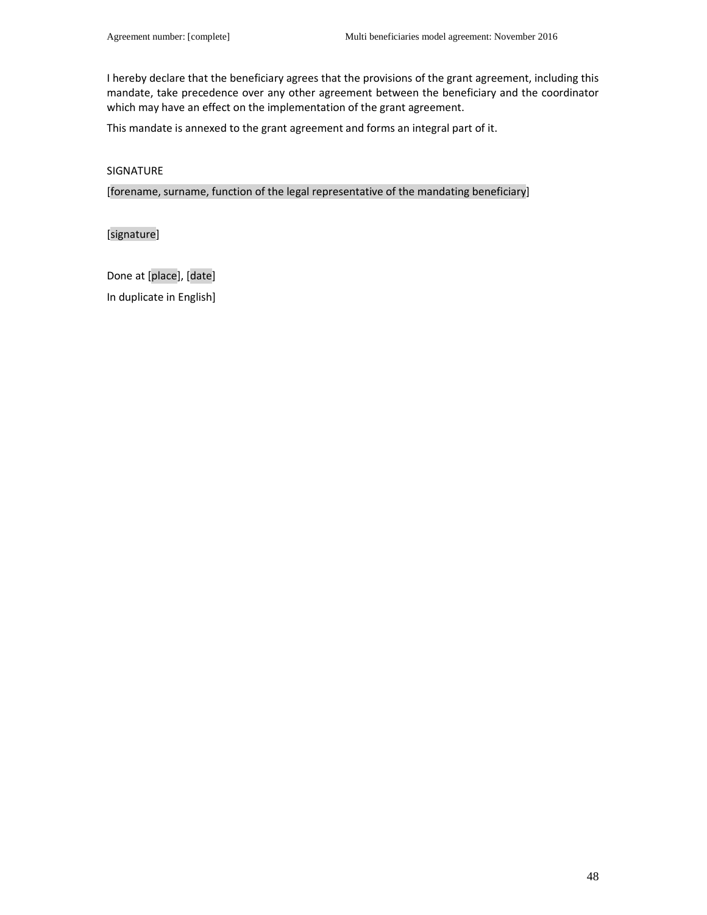I hereby declare that the beneficiary agrees that the provisions of the grant agreement, including this mandate, take precedence over any other agreement between the beneficiary and the coordinator which may have an effect on the implementation of the grant agreement.

This mandate is annexed to the grant agreement and forms an integral part of it.

#### SIGNATURE

[forename, surname, function of the legal representative of the mandating beneficiary]

[signature]

Done at [place], [date] In duplicate in English]